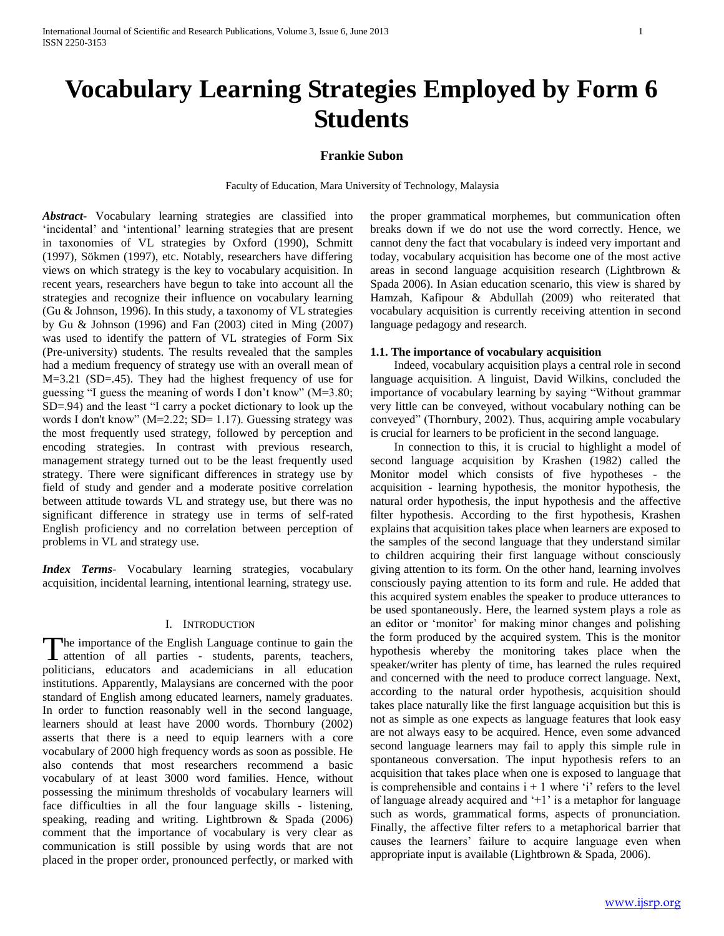# **Vocabulary Learning Strategies Employed by Form 6 Students**

#### **Frankie Subon**

Faculty of Education, Mara University of Technology, Malaysia

*Abstract***-** Vocabulary learning strategies are classified into 'incidental' and 'intentional' learning strategies that are present in taxonomies of VL strategies by Oxford (1990), Schmitt (1997), Sökmen (1997), etc. Notably, researchers have differing views on which strategy is the key to vocabulary acquisition. In recent years, researchers have begun to take into account all the strategies and recognize their influence on vocabulary learning (Gu & Johnson, 1996). In this study, a taxonomy of VL strategies by Gu & Johnson (1996) and Fan (2003) cited in Ming (2007) was used to identify the pattern of VL strategies of Form Six (Pre-university) students. The results revealed that the samples had a medium frequency of strategy use with an overall mean of M=3.21 (SD=.45). They had the highest frequency of use for guessing "I guess the meaning of words I don't know"  $(M=3.80)$ ; SD=.94) and the least "I carry a pocket dictionary to look up the words I don't know" (M=2.22; SD= 1.17). Guessing strategy was the most frequently used strategy, followed by perception and encoding strategies. In contrast with previous research, management strategy turned out to be the least frequently used strategy. There were significant differences in strategy use by field of study and gender and a moderate positive correlation between attitude towards VL and strategy use, but there was no significant difference in strategy use in terms of self-rated English proficiency and no correlation between perception of problems in VL and strategy use.

*Index Terms*- Vocabulary learning strategies, vocabulary acquisition, incidental learning, intentional learning, strategy use.

#### I. INTRODUCTION

he importance of the English Language continue to gain the The importance of the English Language continue to gain the attention of all parties - students, parents, teachers, politicians, educators and academicians in all education institutions. Apparently, Malaysians are concerned with the poor standard of English among educated learners, namely graduates. In order to function reasonably well in the second language, learners should at least have 2000 words. Thornbury (2002) asserts that there is a need to equip learners with a core vocabulary of 2000 high frequency words as soon as possible. He also contends that most researchers recommend a basic vocabulary of at least 3000 word families. Hence, without possessing the minimum thresholds of vocabulary learners will face difficulties in all the four language skills - listening, speaking, reading and writing. Lightbrown & Spada (2006) comment that the importance of vocabulary is very clear as communication is still possible by using words that are not placed in the proper order, pronounced perfectly, or marked with

the proper grammatical morphemes, but communication often breaks down if we do not use the word correctly. Hence, we cannot deny the fact that vocabulary is indeed very important and today, vocabulary acquisition has become one of the most active areas in second language acquisition research (Lightbrown & Spada 2006). In Asian education scenario, this view is shared by Hamzah, Kafipour & Abdullah (2009) who reiterated that vocabulary acquisition is currently receiving attention in second language pedagogy and research.

#### **1.1. The importance of vocabulary acquisition**

 Indeed, vocabulary acquisition plays a central role in second language acquisition. A linguist, David Wilkins, concluded the importance of vocabulary learning by saying "Without grammar very little can be conveyed, without vocabulary nothing can be conveyed" (Thornbury, 2002). Thus, acquiring ample vocabulary is crucial for learners to be proficient in the second language.

 In connection to this, it is crucial to highlight a model of second language acquisition by Krashen (1982) called the Monitor model which consists of five hypotheses - the acquisition - learning hypothesis, the monitor hypothesis, the natural order hypothesis, the input hypothesis and the affective filter hypothesis. According to the first hypothesis, Krashen explains that acquisition takes place when learners are exposed to the samples of the second language that they understand similar to children acquiring their first language without consciously giving attention to its form. On the other hand, learning involves consciously paying attention to its form and rule. He added that this acquired system enables the speaker to produce utterances to be used spontaneously. Here, the learned system plays a role as an editor or 'monitor' for making minor changes and polishing the form produced by the acquired system. This is the monitor hypothesis whereby the monitoring takes place when the speaker/writer has plenty of time, has learned the rules required and concerned with the need to produce correct language. Next, according to the natural order hypothesis, acquisition should takes place naturally like the first language acquisition but this is not as simple as one expects as language features that look easy are not always easy to be acquired. Hence, even some advanced second language learners may fail to apply this simple rule in spontaneous conversation. The input hypothesis refers to an acquisition that takes place when one is exposed to language that is comprehensible and contains  $i + 1$  where  $i$  refers to the level of language already acquired and '+1' is a metaphor for language such as words, grammatical forms, aspects of pronunciation. Finally, the affective filter refers to a metaphorical barrier that causes the learners" failure to acquire language even when appropriate input is available (Lightbrown & Spada, 2006).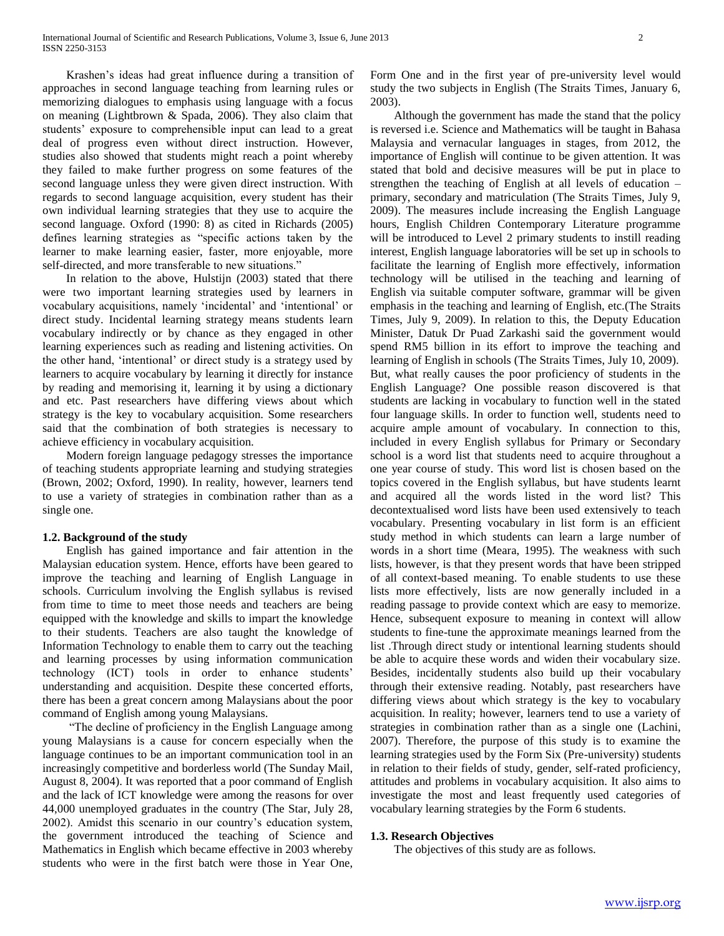Krashen"s ideas had great influence during a transition of approaches in second language teaching from learning rules or memorizing dialogues to emphasis using language with a focus on meaning (Lightbrown & Spada, 2006). They also claim that students" exposure to comprehensible input can lead to a great deal of progress even without direct instruction. However, studies also showed that students might reach a point whereby they failed to make further progress on some features of the second language unless they were given direct instruction. With regards to second language acquisition, every student has their own individual learning strategies that they use to acquire the second language. Oxford (1990: 8) as cited in Richards (2005) defines learning strategies as "specific actions taken by the learner to make learning easier, faster, more enjoyable, more self-directed, and more transferable to new situations."

 In relation to the above, Hulstijn (2003) stated that there were two important learning strategies used by learners in vocabulary acquisitions, namely "incidental" and "intentional" or direct study. Incidental learning strategy means students learn vocabulary indirectly or by chance as they engaged in other learning experiences such as reading and listening activities. On the other hand, "intentional" or direct study is a strategy used by learners to acquire vocabulary by learning it directly for instance by reading and memorising it, learning it by using a dictionary and etc. Past researchers have differing views about which strategy is the key to vocabulary acquisition. Some researchers said that the combination of both strategies is necessary to achieve efficiency in vocabulary acquisition.

 Modern foreign language pedagogy stresses the importance of teaching students appropriate learning and studying strategies (Brown, 2002; Oxford, 1990). In reality, however, learners tend to use a variety of strategies in combination rather than as a single one.

# **1.2. Background of the study**

 English has gained importance and fair attention in the Malaysian education system. Hence, efforts have been geared to improve the teaching and learning of English Language in schools. Curriculum involving the English syllabus is revised from time to time to meet those needs and teachers are being equipped with the knowledge and skills to impart the knowledge to their students. Teachers are also taught the knowledge of Information Technology to enable them to carry out the teaching and learning processes by using information communication technology (ICT) tools in order to enhance students" understanding and acquisition. Despite these concerted efforts, there has been a great concern among Malaysians about the poor command of English among young Malaysians.

 "The decline of proficiency in the English Language among young Malaysians is a cause for concern especially when the language continues to be an important communication tool in an increasingly competitive and borderless world (The Sunday Mail, August 8, 2004). It was reported that a poor command of English and the lack of ICT knowledge were among the reasons for over 44,000 unemployed graduates in the country (The Star, July 28, 2002). Amidst this scenario in our country"s education system, the government introduced the teaching of Science and Mathematics in English which became effective in 2003 whereby students who were in the first batch were those in Year One,

Form One and in the first year of pre-university level would study the two subjects in English (The Straits Times, January 6, 2003).

 Although the government has made the stand that the policy is reversed i.e. Science and Mathematics will be taught in Bahasa Malaysia and vernacular languages in stages, from 2012, the importance of English will continue to be given attention. It was stated that bold and decisive measures will be put in place to strengthen the teaching of English at all levels of education – primary, secondary and matriculation (The Straits Times, July 9, 2009). The measures include increasing the English Language hours, English Children Contemporary Literature programme will be introduced to Level 2 primary students to instill reading interest, English language laboratories will be set up in schools to facilitate the learning of English more effectively, information technology will be utilised in the teaching and learning of English via suitable computer software, grammar will be given emphasis in the teaching and learning of English, etc.(The Straits Times, July 9, 2009). In relation to this, the Deputy Education Minister, Datuk Dr Puad Zarkashi said the government would spend RM5 billion in its effort to improve the teaching and learning of English in schools (The Straits Times, July 10, 2009). But, what really causes the poor proficiency of students in the English Language? One possible reason discovered is that students are lacking in vocabulary to function well in the stated four language skills. In order to function well, students need to acquire ample amount of vocabulary. In connection to this, included in every English syllabus for Primary or Secondary school is a word list that students need to acquire throughout a one year course of study. This word list is chosen based on the topics covered in the English syllabus, but have students learnt and acquired all the words listed in the word list? This decontextualised word lists have been used extensively to teach vocabulary. Presenting vocabulary in list form is an efficient study method in which students can learn a large number of words in a short time (Meara, 1995). The weakness with such lists, however, is that they present words that have been stripped of all context-based meaning. To enable students to use these lists more effectively, lists are now generally included in a reading passage to provide context which are easy to memorize. Hence, subsequent exposure to meaning in context will allow students to fine-tune the approximate meanings learned from the list .Through direct study or intentional learning students should be able to acquire these words and widen their vocabulary size. Besides, incidentally students also build up their vocabulary through their extensive reading. Notably, past researchers have differing views about which strategy is the key to vocabulary acquisition. In reality; however, learners tend to use a variety of strategies in combination rather than as a single one (Lachini, 2007). Therefore, the purpose of this study is to examine the learning strategies used by the Form Six (Pre-university) students in relation to their fields of study, gender, self-rated proficiency, attitudes and problems in vocabulary acquisition. It also aims to investigate the most and least frequently used categories of vocabulary learning strategies by the Form 6 students.

#### **1.3. Research Objectives**

The objectives of this study are as follows.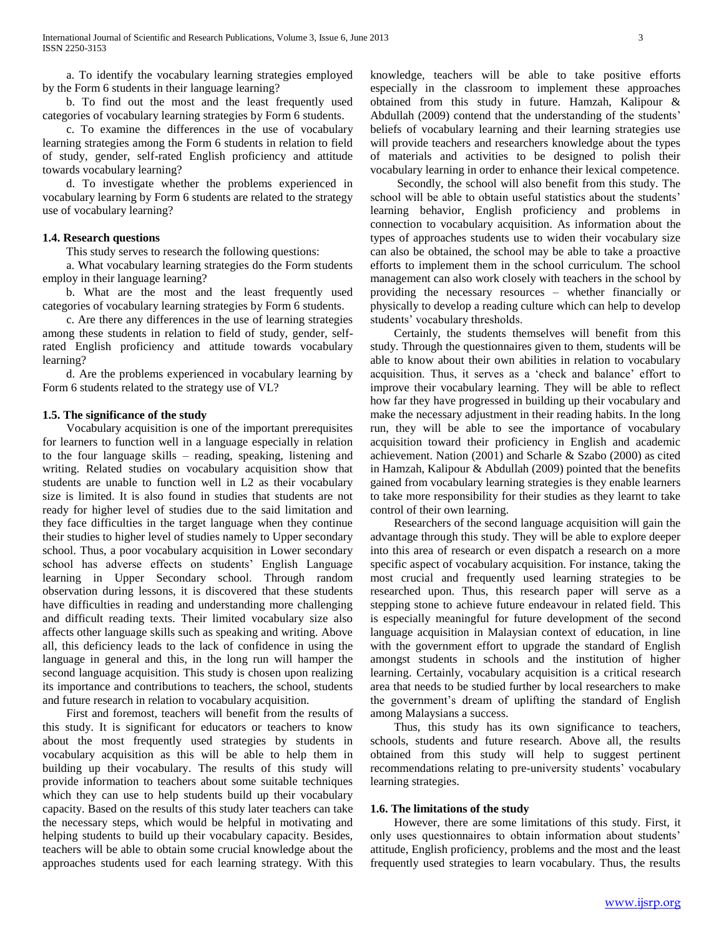a. To identify the vocabulary learning strategies employed by the Form 6 students in their language learning?

 b. To find out the most and the least frequently used categories of vocabulary learning strategies by Form 6 students.

 c. To examine the differences in the use of vocabulary learning strategies among the Form 6 students in relation to field of study, gender, self-rated English proficiency and attitude towards vocabulary learning?

 d. To investigate whether the problems experienced in vocabulary learning by Form 6 students are related to the strategy use of vocabulary learning?

### **1.4. Research questions**

This study serves to research the following questions:

 a. What vocabulary learning strategies do the Form students employ in their language learning?

 b. What are the most and the least frequently used categories of vocabulary learning strategies by Form 6 students.

 c. Are there any differences in the use of learning strategies among these students in relation to field of study, gender, selfrated English proficiency and attitude towards vocabulary learning?

 d. Are the problems experienced in vocabulary learning by Form 6 students related to the strategy use of VL?

# **1.5. The significance of the study**

 Vocabulary acquisition is one of the important prerequisites for learners to function well in a language especially in relation to the four language skills – reading, speaking, listening and writing. Related studies on vocabulary acquisition show that students are unable to function well in L2 as their vocabulary size is limited. It is also found in studies that students are not ready for higher level of studies due to the said limitation and they face difficulties in the target language when they continue their studies to higher level of studies namely to Upper secondary school. Thus, a poor vocabulary acquisition in Lower secondary school has adverse effects on students' English Language learning in Upper Secondary school. Through random observation during lessons, it is discovered that these students have difficulties in reading and understanding more challenging and difficult reading texts. Their limited vocabulary size also affects other language skills such as speaking and writing. Above all, this deficiency leads to the lack of confidence in using the language in general and this, in the long run will hamper the second language acquisition. This study is chosen upon realizing its importance and contributions to teachers, the school, students and future research in relation to vocabulary acquisition.

 First and foremost, teachers will benefit from the results of this study. It is significant for educators or teachers to know about the most frequently used strategies by students in vocabulary acquisition as this will be able to help them in building up their vocabulary. The results of this study will provide information to teachers about some suitable techniques which they can use to help students build up their vocabulary capacity. Based on the results of this study later teachers can take the necessary steps, which would be helpful in motivating and helping students to build up their vocabulary capacity. Besides, teachers will be able to obtain some crucial knowledge about the approaches students used for each learning strategy. With this

knowledge, teachers will be able to take positive efforts especially in the classroom to implement these approaches obtained from this study in future. Hamzah, Kalipour & Abdullah (2009) contend that the understanding of the students' beliefs of vocabulary learning and their learning strategies use will provide teachers and researchers knowledge about the types of materials and activities to be designed to polish their vocabulary learning in order to enhance their lexical competence.

 Secondly, the school will also benefit from this study. The school will be able to obtain useful statistics about the students' learning behavior, English proficiency and problems in connection to vocabulary acquisition. As information about the types of approaches students use to widen their vocabulary size can also be obtained, the school may be able to take a proactive efforts to implement them in the school curriculum. The school management can also work closely with teachers in the school by providing the necessary resources – whether financially or physically to develop a reading culture which can help to develop students' vocabulary thresholds.

 Certainly, the students themselves will benefit from this study. Through the questionnaires given to them, students will be able to know about their own abilities in relation to vocabulary acquisition. Thus, it serves as a "check and balance" effort to improve their vocabulary learning. They will be able to reflect how far they have progressed in building up their vocabulary and make the necessary adjustment in their reading habits. In the long run, they will be able to see the importance of vocabulary acquisition toward their proficiency in English and academic achievement. Nation (2001) and Scharle & Szabo (2000) as cited in Hamzah, Kalipour & Abdullah (2009) pointed that the benefits gained from vocabulary learning strategies is they enable learners to take more responsibility for their studies as they learnt to take control of their own learning.

 Researchers of the second language acquisition will gain the advantage through this study. They will be able to explore deeper into this area of research or even dispatch a research on a more specific aspect of vocabulary acquisition. For instance, taking the most crucial and frequently used learning strategies to be researched upon. Thus, this research paper will serve as a stepping stone to achieve future endeavour in related field. This is especially meaningful for future development of the second language acquisition in Malaysian context of education, in line with the government effort to upgrade the standard of English amongst students in schools and the institution of higher learning. Certainly, vocabulary acquisition is a critical research area that needs to be studied further by local researchers to make the government"s dream of uplifting the standard of English among Malaysians a success.

 Thus, this study has its own significance to teachers, schools, students and future research. Above all, the results obtained from this study will help to suggest pertinent recommendations relating to pre-university students' vocabulary learning strategies.

#### **1.6. The limitations of the study**

 However, there are some limitations of this study. First, it only uses questionnaires to obtain information about students' attitude, English proficiency, problems and the most and the least frequently used strategies to learn vocabulary. Thus, the results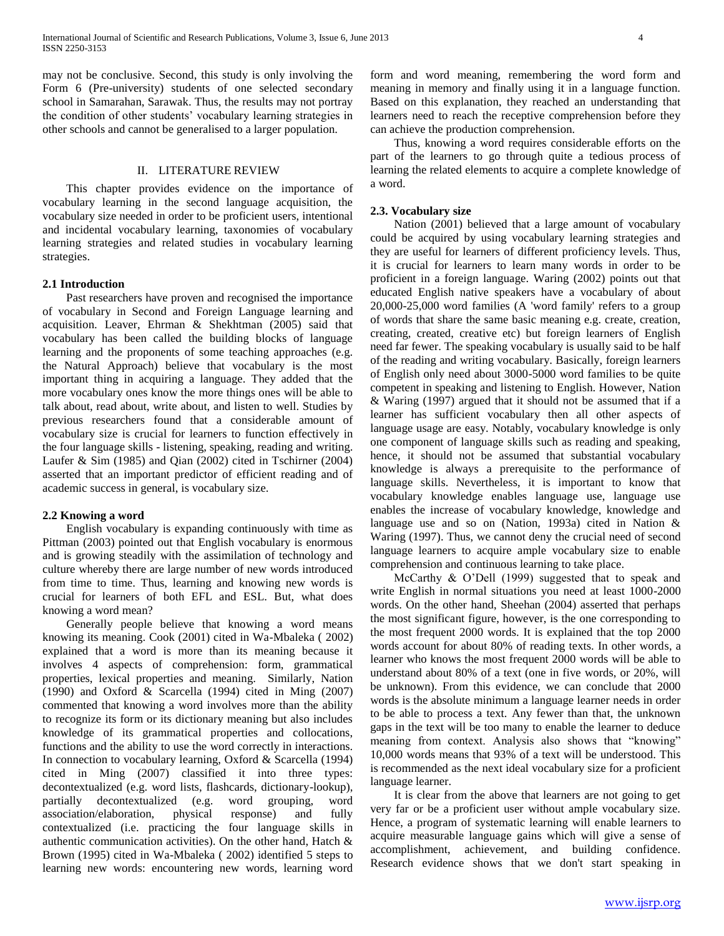may not be conclusive. Second, this study is only involving the Form 6 (Pre-university) students of one selected secondary school in Samarahan, Sarawak. Thus, the results may not portray the condition of other students' vocabulary learning strategies in other schools and cannot be generalised to a larger population.

# II. LITERATURE REVIEW

 This chapter provides evidence on the importance of vocabulary learning in the second language acquisition, the vocabulary size needed in order to be proficient users, intentional and incidental vocabulary learning, taxonomies of vocabulary learning strategies and related studies in vocabulary learning strategies.

#### **2.1 Introduction**

 Past researchers have proven and recognised the importance of vocabulary in Second and Foreign Language learning and acquisition. Leaver, Ehrman & Shekhtman (2005) said that vocabulary has been called the building blocks of language learning and the proponents of some teaching approaches (e.g. the Natural Approach) believe that vocabulary is the most important thing in acquiring a language. They added that the more vocabulary ones know the more things ones will be able to talk about, read about, write about, and listen to well. Studies by previous researchers found that a considerable amount of vocabulary size is crucial for learners to function effectively in the four language skills - listening, speaking, reading and writing. Laufer & Sim (1985) and Qian (2002) cited in Tschirner (2004) asserted that an important predictor of efficient reading and of academic success in general, is vocabulary size.

#### **2.2 Knowing a word**

 English vocabulary is expanding continuously with time as Pittman (2003) pointed out that English vocabulary is enormous and is growing steadily with the assimilation of technology and culture whereby there are large number of new words introduced from time to time. Thus, learning and knowing new words is crucial for learners of both EFL and ESL. But, what does knowing a word mean?

 Generally people believe that knowing a word means knowing its meaning. Cook (2001) cited in Wa-Mbaleka ( 2002) explained that a word is more than its meaning because it involves 4 aspects of comprehension: form, grammatical properties, lexical properties and meaning. Similarly, Nation (1990) and Oxford & Scarcella (1994) cited in Ming (2007) commented that knowing a word involves more than the ability to recognize its form or its dictionary meaning but also includes knowledge of its grammatical properties and collocations, functions and the ability to use the word correctly in interactions. In connection to vocabulary learning, Oxford & Scarcella (1994) cited in Ming (2007) classified it into three types: decontextualized (e.g. word lists, flashcards, dictionary-lookup), partially decontextualized (e.g. word grouping, word association/elaboration, physical response) and fully contextualized (i.e. practicing the four language skills in authentic communication activities). On the other hand, Hatch & Brown (1995) cited in Wa-Mbaleka ( 2002) identified 5 steps to learning new words: encountering new words, learning word

form and word meaning, remembering the word form and meaning in memory and finally using it in a language function. Based on this explanation, they reached an understanding that learners need to reach the receptive comprehension before they can achieve the production comprehension.

 Thus, knowing a word requires considerable efforts on the part of the learners to go through quite a tedious process of learning the related elements to acquire a complete knowledge of a word.

#### **2.3. Vocabulary size**

 Nation (2001) believed that a large amount of vocabulary could be acquired by using vocabulary learning strategies and they are useful for learners of different proficiency levels. Thus, it is crucial for learners to learn many words in order to be proficient in a foreign language. Waring (2002) points out that educated English native speakers have a vocabulary of about 20,000-25,000 word families (A 'word family' refers to a group of words that share the same basic meaning e.g. create, creation, creating, created, creative etc) but foreign learners of English need far fewer. The speaking vocabulary is usually said to be half of the reading and writing vocabulary. Basically, foreign learners of English only need about 3000-5000 word families to be quite competent in speaking and listening to English. However, Nation & Waring (1997) argued that it should not be assumed that if a learner has sufficient vocabulary then all other aspects of language usage are easy. Notably, vocabulary knowledge is only one component of language skills such as reading and speaking, hence, it should not be assumed that substantial vocabulary knowledge is always a prerequisite to the performance of language skills. Nevertheless, it is important to know that vocabulary knowledge enables language use, language use enables the increase of vocabulary knowledge, knowledge and language use and so on (Nation, 1993a) cited in Nation & Waring (1997). Thus, we cannot deny the crucial need of second language learners to acquire ample vocabulary size to enable comprehension and continuous learning to take place.

 McCarthy & O"Dell (1999) suggested that to speak and write English in normal situations you need at least 1000-2000 words. On the other hand, Sheehan (2004) asserted that perhaps the most significant figure, however, is the one corresponding to the most frequent 2000 words. It is explained that the top 2000 words account for about 80% of reading texts. In other words, a learner who knows the most frequent 2000 words will be able to understand about 80% of a text (one in five words, or 20%, will be unknown). From this evidence, we can conclude that 2000 words is the absolute minimum a language learner needs in order to be able to process a text. Any fewer than that, the unknown gaps in the text will be too many to enable the learner to deduce meaning from context. Analysis also shows that "knowing" 10,000 words means that 93% of a text will be understood. This is recommended as the next ideal vocabulary size for a proficient language learner.

 It is clear from the above that learners are not going to get very far or be a proficient user without ample vocabulary size. Hence, a program of systematic learning will enable learners to acquire measurable language gains which will give a sense of accomplishment, achievement, and building confidence. Research evidence shows that we don't start speaking in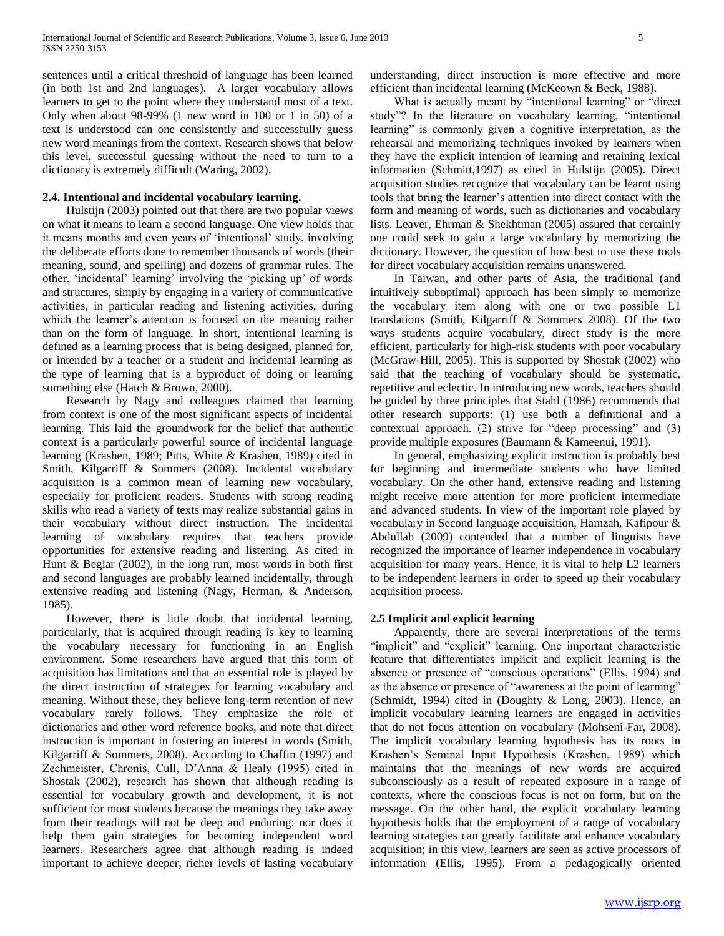sentences until a critical threshold of language has been learned (in both 1st and 2nd languages). A larger vocabulary allows learners to get to the point where they understand most of a text. Only when about 98-99% (1 new word in 100 or 1 in 50) of a text is understood can one consistently and successfully guess new word meanings from the context. Research shows that below this level, successful guessing without the need to turn to a dictionary is extremely difficult (Waring, 2002).

#### **2.4. Intentional and incidental vocabulary learning.**

 Hulstijn (2003) pointed out that there are two popular views on what it means to learn a second language. One view holds that it means months and even years of "intentional" study, involving the deliberate efforts done to remember thousands of words (their meaning, sound, and spelling) and dozens of grammar rules. The other, 'incidental' learning' involving the 'picking up' of words and structures, simply by engaging in a variety of communicative activities, in particular reading and listening activities, during which the learner's attention is focused on the meaning rather than on the form of language. In short, intentional learning is defined as a learning process that is being designed, planned for, or intended by a teacher or a student and incidental learning as the type of learning that is a byproduct of doing or learning something else (Hatch & Brown, 2000).

 Research by Nagy and colleagues claimed that learning from context is one of the most significant aspects of incidental learning. This laid the groundwork for the belief that authentic context is a particularly powerful source of incidental language learning (Krashen, 1989; Pitts, White & Krashen, 1989) cited in Smith, Kilgarriff & Sommers (2008). Incidental vocabulary acquisition is a common mean of learning new vocabulary, especially for proficient readers. Students with strong reading skills who read a variety of texts may realize substantial gains in their vocabulary without direct instruction. The incidental learning of vocabulary requires that teachers provide opportunities for extensive reading and listening. As cited in Hunt & Beglar (2002), in the long run, most words in both first and second languages are probably learned incidentally, through extensive reading and listening (Nagy, Herman, & Anderson, 1985).

 However, there is little doubt that incidental learning, particularly, that is acquired through reading is key to learning the vocabulary necessary for functioning in an English environment. Some researchers have argued that this form of acquisition has limitations and that an essential role is played by the direct instruction of strategies for learning vocabulary and meaning. Without these, they believe long-term retention of new vocabulary rarely follows. They emphasize the role of dictionaries and other word reference books, and note that direct instruction is important in fostering an interest in words (Smith, Kilgarriff & Sommers, 2008). According to Chaffin (1997) and Zechmeister, Chronis, Cull, D"Anna & Healy (1995) cited in Shostak (2002), research has shown that although reading is essential for vocabulary growth and development, it is not sufficient for most students because the meanings they take away from their readings will not be deep and enduring: nor does it help them gain strategies for becoming independent word learners. Researchers agree that although reading is indeed important to achieve deeper, richer levels of lasting vocabulary understanding, direct instruction is more effective and more efficient than incidental learning (McKeown & Beck, 1988).

 What is actually meant by "intentional learning" or "direct study"? In the literature on vocabulary learning, "intentional learning" is commonly given a cognitive interpretation, as the rehearsal and memorizing techniques invoked by learners when they have the explicit intention of learning and retaining lexical information (Schmitt,1997) as cited in Hulstijn (2005). Direct acquisition studies recognize that vocabulary can be learnt using tools that bring the learner"s attention into direct contact with the form and meaning of words, such as dictionaries and vocabulary lists. Leaver, Ehrman & Shekhtman (2005) assured that certainly one could seek to gain a large vocabulary by memorizing the dictionary. However, the question of how best to use these tools for direct vocabulary acquisition remains unanswered.

 In Taiwan, and other parts of Asia, the traditional (and intuitively suboptimal) approach has been simply to memorize the vocabulary item along with one or two possible L1 translations (Smith, Kilgarriff & Sommers 2008). Of the two ways students acquire vocabulary, direct study is the more efficient, particularly for high-risk students with poor vocabulary (McGraw-Hill, 2005). This is supported by Shostak (2002) who said that the teaching of vocabulary should be systematic, repetitive and eclectic. In introducing new words, teachers should be guided by three principles that Stahl (1986) recommends that other research supports: (1) use both a definitional and a contextual approach. (2) strive for "deep processing" and (3) provide multiple exposures (Baumann & Kameenui, 1991).

 In general, emphasizing explicit instruction is probably best for beginning and intermediate students who have limited vocabulary. On the other hand, extensive reading and listening might receive more attention for more proficient intermediate and advanced students. In view of the important role played by vocabulary in Second language acquisition, Hamzah, Kafipour & Abdullah (2009) contended that a number of linguists have recognized the importance of learner independence in vocabulary acquisition for many years. Hence, it is vital to help L2 learners to be independent learners in order to speed up their vocabulary acquisition process.

#### **2.5 Implicit and explicit learning**

 Apparently, there are several interpretations of the terms "implicit" and "explicit" learning. One important characteristic feature that differentiates implicit and explicit learning is the absence or presence of "conscious operations" (Ellis, 1994) and as the absence or presence of "awareness at the point of learning" (Schmidt, 1994) cited in (Doughty & Long, 2003). Hence, an implicit vocabulary learning learners are engaged in activities that do not focus attention on vocabulary (Mohseni-Far, 2008). The implicit vocabulary learning hypothesis has its roots in Krashen"s Seminal Input Hypothesis (Krashen, 1989) which maintains that the meanings of new words are acquired subconsciously as a result of repeated exposure in a range of contexts, where the conscious focus is not on form, but on the message. On the other hand, the explicit vocabulary learning hypothesis holds that the employment of a range of vocabulary learning strategies can greatly facilitate and enhance vocabulary acquisition; in this view, learners are seen as active processors of information (Ellis, 1995). From a pedagogically oriented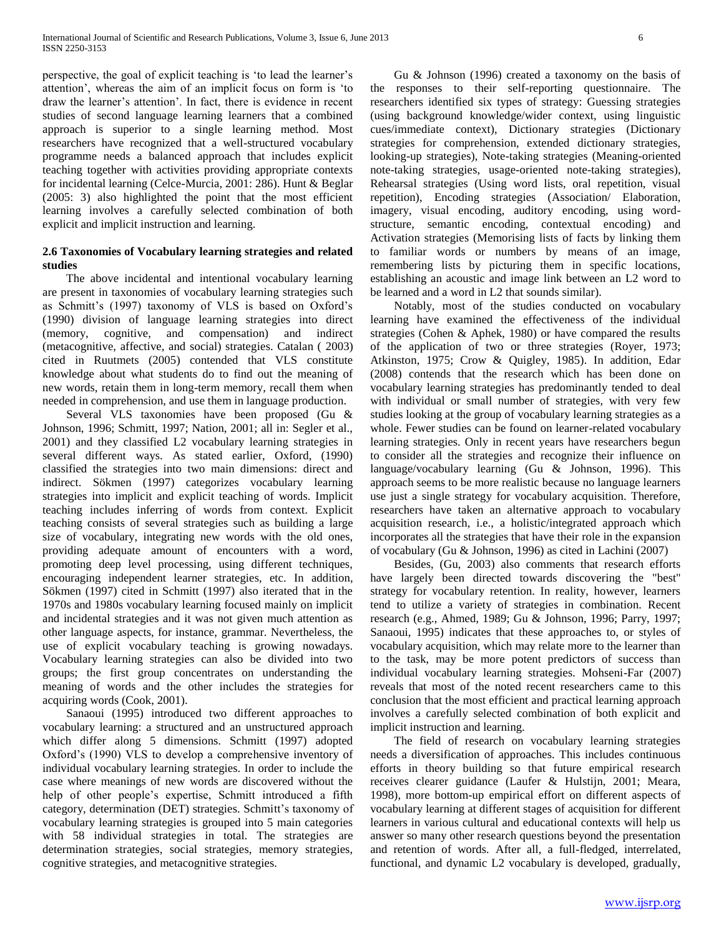perspective, the goal of explicit teaching is "to lead the learner"s attention", whereas the aim of an implicit focus on form is "to draw the learner"s attention". In fact, there is evidence in recent studies of second language learning learners that a combined approach is superior to a single learning method. Most researchers have recognized that a well-structured vocabulary programme needs a balanced approach that includes explicit teaching together with activities providing appropriate contexts for incidental learning (Celce-Murcia, 2001: 286). Hunt & Beglar (2005: 3) also highlighted the point that the most efficient learning involves a carefully selected combination of both explicit and implicit instruction and learning.

# **2.6 Taxonomies of Vocabulary learning strategies and related studies**

 The above incidental and intentional vocabulary learning are present in taxonomies of vocabulary learning strategies such as Schmitt's (1997) taxonomy of VLS is based on Oxford's (1990) division of language learning strategies into direct (memory, cognitive, and compensation) and indirect (metacognitive, affective, and social) strategies. Catalan ( 2003) cited in Ruutmets (2005) contended that VLS constitute knowledge about what students do to find out the meaning of new words, retain them in long-term memory, recall them when needed in comprehension, and use them in language production.

 Several VLS taxonomies have been proposed (Gu & Johnson, 1996; Schmitt, 1997; Nation, 2001; all in: Segler et al., 2001) and they classified L2 vocabulary learning strategies in several different ways. As stated earlier, Oxford, (1990) classified the strategies into two main dimensions: direct and indirect. Sökmen (1997) categorizes vocabulary learning strategies into implicit and explicit teaching of words. Implicit teaching includes inferring of words from context. Explicit teaching consists of several strategies such as building a large size of vocabulary, integrating new words with the old ones, providing adequate amount of encounters with a word, promoting deep level processing, using different techniques, encouraging independent learner strategies, etc. In addition, Sökmen (1997) cited in Schmitt (1997) also iterated that in the 1970s and 1980s vocabulary learning focused mainly on implicit and incidental strategies and it was not given much attention as other language aspects, for instance, grammar. Nevertheless, the use of explicit vocabulary teaching is growing nowadays. Vocabulary learning strategies can also be divided into two groups; the first group concentrates on understanding the meaning of words and the other includes the strategies for acquiring words (Cook, 2001).

 Sanaoui (1995) introduced two different approaches to vocabulary learning: a structured and an unstructured approach which differ along 5 dimensions. Schmitt (1997) adopted Oxford"s (1990) VLS to develop a comprehensive inventory of individual vocabulary learning strategies. In order to include the case where meanings of new words are discovered without the help of other people's expertise, Schmitt introduced a fifth category, determination (DET) strategies. Schmitt's taxonomy of vocabulary learning strategies is grouped into 5 main categories with 58 individual strategies in total. The strategies are determination strategies, social strategies, memory strategies, cognitive strategies, and metacognitive strategies.

 Gu & Johnson (1996) created a taxonomy on the basis of the responses to their self-reporting questionnaire. The researchers identified six types of strategy: Guessing strategies (using background knowledge/wider context, using linguistic cues/immediate context), Dictionary strategies (Dictionary strategies for comprehension, extended dictionary strategies, looking-up strategies), Note-taking strategies (Meaning-oriented note-taking strategies, usage-oriented note-taking strategies), Rehearsal strategies (Using word lists, oral repetition, visual repetition), Encoding strategies (Association/ Elaboration, imagery, visual encoding, auditory encoding, using wordstructure, semantic encoding, contextual encoding) and Activation strategies (Memorising lists of facts by linking them to familiar words or numbers by means of an image, remembering lists by picturing them in specific locations, establishing an acoustic and image link between an L2 word to be learned and a word in L2 that sounds similar).

 Notably, most of the studies conducted on vocabulary learning have examined the effectiveness of the individual strategies (Cohen & Aphek, 1980) or have compared the results of the application of two or three strategies (Royer, 1973; Atkinston, 1975; Crow & Quigley, 1985). In addition, Edar (2008) contends that the research which has been done on vocabulary learning strategies has predominantly tended to deal with individual or small number of strategies, with very few studies looking at the group of vocabulary learning strategies as a whole. Fewer studies can be found on learner-related vocabulary learning strategies. Only in recent years have researchers begun to consider all the strategies and recognize their influence on language/vocabulary learning (Gu & Johnson, 1996). This approach seems to be more realistic because no language learners use just a single strategy for vocabulary acquisition. Therefore, researchers have taken an alternative approach to vocabulary acquisition research, i.e., a holistic/integrated approach which incorporates all the strategies that have their role in the expansion of vocabulary (Gu & Johnson, 1996) as cited in Lachini (2007)

 Besides, (Gu, 2003) also comments that research efforts have largely been directed towards discovering the "best" strategy for vocabulary retention. In reality, however, learners tend to utilize a variety of strategies in combination. Recent research (e.g., Ahmed, 1989; Gu & Johnson, 1996; Parry, 1997; Sanaoui, 1995) indicates that these approaches to, or styles of vocabulary acquisition, which may relate more to the learner than to the task, may be more potent predictors of success than individual vocabulary learning strategies. Mohseni-Far (2007) reveals that most of the noted recent researchers came to this conclusion that the most efficient and practical learning approach involves a carefully selected combination of both explicit and implicit instruction and learning.

 The field of research on vocabulary learning strategies needs a diversification of approaches. This includes continuous efforts in theory building so that future empirical research receives clearer guidance (Laufer & Hulstijn, 2001; Meara, 1998), more bottom-up empirical effort on different aspects of vocabulary learning at different stages of acquisition for different learners in various cultural and educational contexts will help us answer so many other research questions beyond the presentation and retention of words. After all, a full-fledged, interrelated, functional, and dynamic L2 vocabulary is developed, gradually,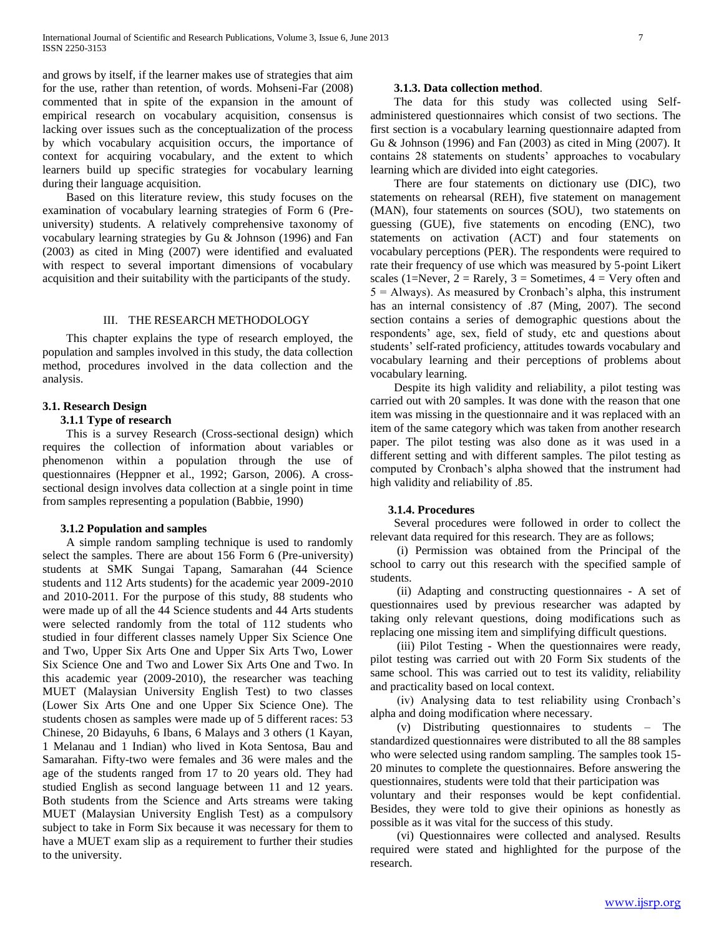and grows by itself, if the learner makes use of strategies that aim for the use, rather than retention, of words. Mohseni-Far (2008) commented that in spite of the expansion in the amount of empirical research on vocabulary acquisition, consensus is lacking over issues such as the conceptualization of the process by which vocabulary acquisition occurs, the importance of context for acquiring vocabulary, and the extent to which learners build up specific strategies for vocabulary learning during their language acquisition.

 Based on this literature review, this study focuses on the examination of vocabulary learning strategies of Form 6 (Preuniversity) students. A relatively comprehensive taxonomy of vocabulary learning strategies by Gu & Johnson (1996) and Fan (2003) as cited in Ming (2007) were identified and evaluated with respect to several important dimensions of vocabulary acquisition and their suitability with the participants of the study.

#### III. THE RESEARCH METHODOLOGY

 This chapter explains the type of research employed, the population and samples involved in this study, the data collection method, procedures involved in the data collection and the analysis.

## **3.1. Research Design**

#### **3.1.1 Type of research**

 This is a survey Research (Cross-sectional design) which requires the collection of information about variables or phenomenon within a population through the use of questionnaires (Heppner et al., 1992; Garson, 2006). A crosssectional design involves data collection at a single point in time from samples representing a population (Babbie, 1990)

#### **3.1.2 Population and samples**

 A simple random sampling technique is used to randomly select the samples. There are about 156 Form 6 (Pre-university) students at SMK Sungai Tapang, Samarahan (44 Science students and 112 Arts students) for the academic year 2009-2010 and 2010-2011. For the purpose of this study, 88 students who were made up of all the 44 Science students and 44 Arts students were selected randomly from the total of 112 students who studied in four different classes namely Upper Six Science One and Two, Upper Six Arts One and Upper Six Arts Two, Lower Six Science One and Two and Lower Six Arts One and Two. In this academic year (2009-2010), the researcher was teaching MUET (Malaysian University English Test) to two classes (Lower Six Arts One and one Upper Six Science One). The students chosen as samples were made up of 5 different races: 53 Chinese, 20 Bidayuhs, 6 Ibans, 6 Malays and 3 others (1 Kayan, 1 Melanau and 1 Indian) who lived in Kota Sentosa, Bau and Samarahan. Fifty-two were females and 36 were males and the age of the students ranged from 17 to 20 years old. They had studied English as second language between 11 and 12 years. Both students from the Science and Arts streams were taking MUET (Malaysian University English Test) as a compulsory subject to take in Form Six because it was necessary for them to have a MUET exam slip as a requirement to further their studies to the university.

#### **3.1.3. Data collection method**.

 The data for this study was collected using Selfadministered questionnaires which consist of two sections. The first section is a vocabulary learning questionnaire adapted from Gu & Johnson (1996) and Fan (2003) as cited in Ming (2007). It contains 28 statements on students" approaches to vocabulary learning which are divided into eight categories.

 There are four statements on dictionary use (DIC), two statements on rehearsal (REH), five statement on management (MAN), four statements on sources (SOU), two statements on guessing (GUE), five statements on encoding (ENC), two statements on activation (ACT) and four statements on vocabulary perceptions (PER). The respondents were required to rate their frequency of use which was measured by 5-point Likert scales (1=Never,  $2 =$  Rarely,  $3 =$  Sometimes,  $4 =$  Very often and  $5 =$  Always). As measured by Cronbach's alpha, this instrument has an internal consistency of .87 (Ming, 2007). The second section contains a series of demographic questions about the respondents" age, sex, field of study, etc and questions about students" self-rated proficiency, attitudes towards vocabulary and vocabulary learning and their perceptions of problems about vocabulary learning.

 Despite its high validity and reliability, a pilot testing was carried out with 20 samples. It was done with the reason that one item was missing in the questionnaire and it was replaced with an item of the same category which was taken from another research paper. The pilot testing was also done as it was used in a different setting and with different samples. The pilot testing as computed by Cronbach"s alpha showed that the instrument had high validity and reliability of .85.

#### **3.1.4. Procedures**

 Several procedures were followed in order to collect the relevant data required for this research. They are as follows;

 (i) Permission was obtained from the Principal of the school to carry out this research with the specified sample of students.

 (ii) Adapting and constructing questionnaires - A set of questionnaires used by previous researcher was adapted by taking only relevant questions, doing modifications such as replacing one missing item and simplifying difficult questions.

 (iii) Pilot Testing - When the questionnaires were ready, pilot testing was carried out with 20 Form Six students of the same school. This was carried out to test its validity, reliability and practicality based on local context.

 (iv) Analysing data to test reliability using Cronbach"s alpha and doing modification where necessary.

 (v) Distributing questionnaires to students – The standardized questionnaires were distributed to all the 88 samples who were selected using random sampling. The samples took 15- 20 minutes to complete the questionnaires. Before answering the questionnaires, students were told that their participation was

voluntary and their responses would be kept confidential. Besides, they were told to give their opinions as honestly as possible as it was vital for the success of this study.

 (vi) Questionnaires were collected and analysed. Results required were stated and highlighted for the purpose of the research.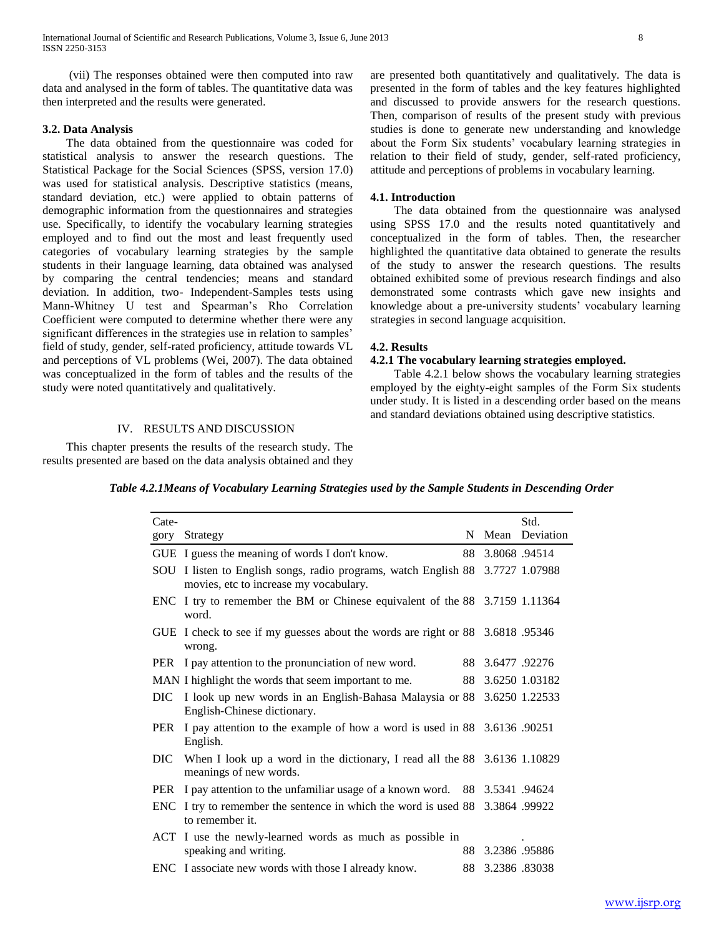International Journal of Scientific and Research Publications, Volume 3, Issue 6, June 2013 8 ISSN 2250-3153

 (vii) The responses obtained were then computed into raw data and analysed in the form of tables. The quantitative data was then interpreted and the results were generated.

#### **3.2. Data Analysis**

 The data obtained from the questionnaire was coded for statistical analysis to answer the research questions. The Statistical Package for the Social Sciences (SPSS, version 17.0) was used for statistical analysis. Descriptive statistics (means, standard deviation, etc.) were applied to obtain patterns of demographic information from the questionnaires and strategies use. Specifically, to identify the vocabulary learning strategies employed and to find out the most and least frequently used categories of vocabulary learning strategies by the sample students in their language learning, data obtained was analysed by comparing the central tendencies; means and standard deviation. In addition, two- Independent-Samples tests using Mann-Whitney U test and Spearman"s Rho Correlation Coefficient were computed to determine whether there were any significant differences in the strategies use in relation to samples' field of study, gender, self-rated proficiency, attitude towards VL and perceptions of VL problems (Wei, 2007). The data obtained was conceptualized in the form of tables and the results of the study were noted quantitatively and qualitatively.

# IV. RESULTS AND DISCUSSION

 This chapter presents the results of the research study. The results presented are based on the data analysis obtained and they are presented both quantitatively and qualitatively. The data is presented in the form of tables and the key features highlighted and discussed to provide answers for the research questions. Then, comparison of results of the present study with previous studies is done to generate new understanding and knowledge about the Form Six students' vocabulary learning strategies in relation to their field of study, gender, self-rated proficiency, attitude and perceptions of problems in vocabulary learning.

#### **4.1. Introduction**

 The data obtained from the questionnaire was analysed using SPSS 17.0 and the results noted quantitatively and conceptualized in the form of tables. Then, the researcher highlighted the quantitative data obtained to generate the results of the study to answer the research questions. The results obtained exhibited some of previous research findings and also demonstrated some contrasts which gave new insights and knowledge about a pre-university students' vocabulary learning strategies in second language acquisition.

#### **4.2. Results**

#### **4.2.1 The vocabulary learning strategies employed.**

 Table 4.2.1 below shows the vocabulary learning strategies employed by the eighty-eight samples of the Form Six students under study. It is listed in a descending order based on the means and standard deviations obtained using descriptive statistics.

| Table 4.2.1Means of Vocabulary Learning Strategies used by the Sample Students in Descending Order |  |
|----------------------------------------------------------------------------------------------------|--|
|----------------------------------------------------------------------------------------------------|--|

| Cate- |                                                                                                                          |                  | Std.              |
|-------|--------------------------------------------------------------------------------------------------------------------------|------------------|-------------------|
| gory  | Strategy                                                                                                                 |                  | N Mean Deviation  |
|       | GUE I guess the meaning of words I don't know.                                                                           | 88 3.8068 .94514 |                   |
|       | SOU I listen to English songs, radio programs, watch English 88 3.7727 1.07988<br>movies, etc to increase my vocabulary. |                  |                   |
|       | ENC I try to remember the BM or Chinese equivalent of the 88 3.7159 1.11364<br>word.                                     |                  |                   |
|       | GUE I check to see if my guesses about the words are right or 88 3.6818 .95346<br>wrong.                                 |                  |                   |
|       | PER I pay attention to the pronunciation of new word.                                                                    | 88 3.6477 .92276 |                   |
|       | MAN I highlight the words that seem important to me.                                                                     |                  | 88 3.6250 1.03182 |
|       | DIC I look up new words in an English-Bahasa Malaysia or 88 3.6250 1.22533<br>English-Chinese dictionary.                |                  |                   |
|       | PER I pay attention to the example of how a word is used in 88 3.6136 .90251<br>English.                                 |                  |                   |
|       | DIC When I look up a word in the dictionary, I read all the 88 3.6136 1.10829<br>meanings of new words.                  |                  |                   |
|       | PER I pay attention to the unfamiliar usage of a known word. 88 3.5341 .94624                                            |                  |                   |
|       | ENC I try to remember the sentence in which the word is used 88 3.3864 .99922<br>to remember it.                         |                  |                   |
|       | ACT I use the newly-learned words as much as possible in<br>speaking and writing.                                        | 88 3.2386 .95886 |                   |
|       | ENC I associate new words with those I already know.                                                                     | 88 3.2386 83038  |                   |
|       |                                                                                                                          |                  |                   |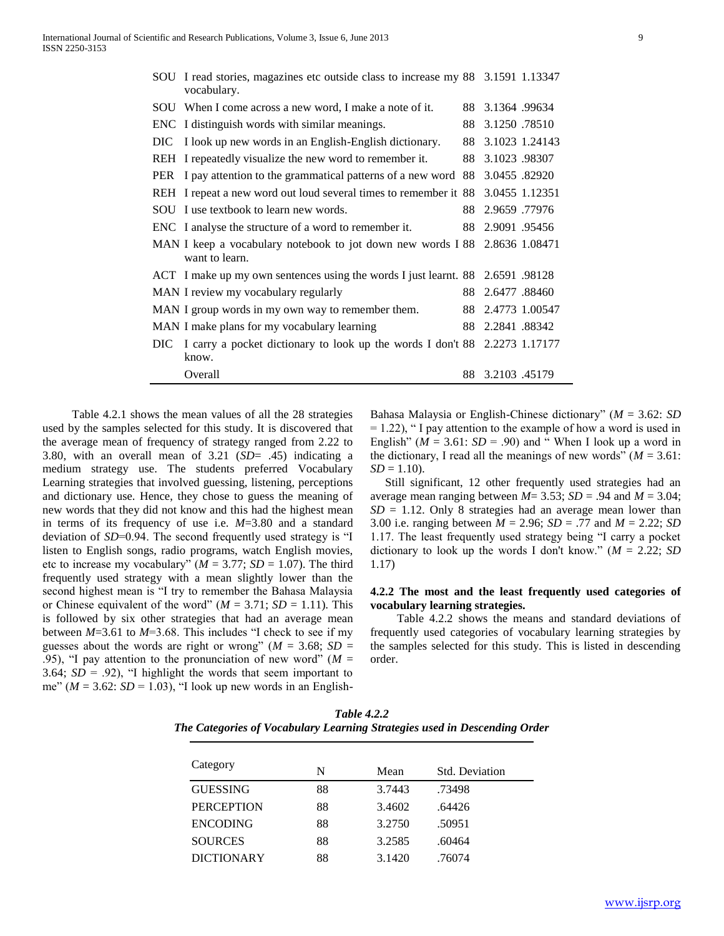|     | SOU I read stories, magazines etc outside class to increase my 88 3.1591 1.13347<br>vocabulary. |    |                  |                   |
|-----|-------------------------------------------------------------------------------------------------|----|------------------|-------------------|
|     | SOU When I come across a new word, I make a note of it.                                         |    | 88 3.1364 .99634 |                   |
|     | ENC I distinguish words with similar meanings.                                                  | 88 | 3.1250.78510     |                   |
|     | DIC I look up new words in an English-English dictionary.                                       | 88 |                  | 3.1023 1.24143    |
|     | REH I repeatedly visualize the new word to remember it.                                         |    | 88 3.1023 .98307 |                   |
|     | PER I pay attention to the grammatical patterns of a new word 88 3.0455 .82920                  |    |                  |                   |
|     | REH I repeat a new word out loud several times to remember it 88 3.0455 1.12351                 |    |                  |                   |
|     | SOU I use textbook to learn new words.                                                          |    | 88 2.9659 .77976 |                   |
|     | ENC I analyse the structure of a word to remember it.                                           |    | 88 2.9091 .95456 |                   |
|     | MAN I keep a vocabulary notebook to jot down new words I 88 2.8636 1.08471<br>want to learn.    |    |                  |                   |
|     | ACT I make up my own sentences using the words I just learnt. 88 2.6591 .98128                  |    |                  |                   |
|     | MAN I review my vocabulary regularly                                                            |    | 88 2.6477 .88460 |                   |
|     | MAN I group words in my own way to remember them.                                               |    |                  | 88 2.4773 1.00547 |
|     | MAN I make plans for my vocabulary learning                                                     | 88 | 2.2841.88342     |                   |
| DIC | I carry a pocket dictionary to look up the words I don't 88 2.2273 1.17177<br>know.             |    |                  |                   |
|     | Overall                                                                                         |    | 88 3.2103 .45179 |                   |

 Table 4.2.1 shows the mean values of all the 28 strategies used by the samples selected for this study. It is discovered that the average mean of frequency of strategy ranged from 2.22 to 3.80, with an overall mean of 3.21 (*SD*= .45) indicating a medium strategy use. The students preferred Vocabulary Learning strategies that involved guessing, listening, perceptions and dictionary use. Hence, they chose to guess the meaning of new words that they did not know and this had the highest mean in terms of its frequency of use i.e. *M*=3.80 and a standard deviation of *SD*=0.94. The second frequently used strategy is "I listen to English songs, radio programs, watch English movies, etc to increase my vocabulary" ( $M = 3.77$ ;  $SD = 1.07$ ). The third frequently used strategy with a mean slightly lower than the second highest mean is "I try to remember the Bahasa Malaysia or Chinese equivalent of the word" ( $M = 3.71$ ;  $SD = 1.11$ ). This is followed by six other strategies that had an average mean between *M*=3.61 to *M*=3.68. This includes "I check to see if my guesses about the words are right or wrong" ( $M = 3.68$ ;  $SD =$ .95), "I pay attention to the pronunciation of new word" ( $M =$ 3.64;  $SD = .92$ ), "I highlight the words that seem important to me" ( $M = 3.62$ :  $SD = 1.03$ ), "I look up new words in an English-

Bahasa Malaysia or English-Chinese dictionary" (*M* = 3.62: *SD*  $= 1.22$ ), " I pay attention to the example of how a word is used in English" ( $M = 3.61$ :  $SD = .90$ ) and "When I look up a word in the dictionary, I read all the meanings of new words"  $(M = 3.61$ :  $SD = 1.10$ .

 Still significant, 12 other frequently used strategies had an average mean ranging between  $M = 3.53$ ;  $SD = .94$  and  $M = 3.04$ ;  $SD = 1.12$ . Only 8 strategies had an average mean lower than 3.00 i.e. ranging between *M* = 2.96; *SD* = .77 and *M* = 2.22; *SD* 1.17. The least frequently used strategy being "I carry a pocket dictionary to look up the words I don't know."  $(M = 2.22; SD)$ 1.17)

## **4.2.2 The most and the least frequently used categories of vocabulary learning strategies.**

 Table 4.2.2 shows the means and standard deviations of frequently used categories of vocabulary learning strategies by the samples selected for this study. This is listed in descending order.

| <b>Table 4.2.2</b>                                                        |  |  |  |  |
|---------------------------------------------------------------------------|--|--|--|--|
| The Categories of Vocabulary Learning Strategies used in Descending Order |  |  |  |  |

| Category          | N  | Mean   | Std. Deviation |
|-------------------|----|--------|----------------|
| <b>GUESSING</b>   | 88 | 3.7443 | .73498         |
| <b>PERCEPTION</b> | 88 | 3.4602 | .64426         |
| <b>ENCODING</b>   | 88 | 3.2750 | .50951         |
| <b>SOURCES</b>    | 88 | 3.2585 | .60464         |
| <b>DICTIONARY</b> | 88 | 3.1420 | .76074         |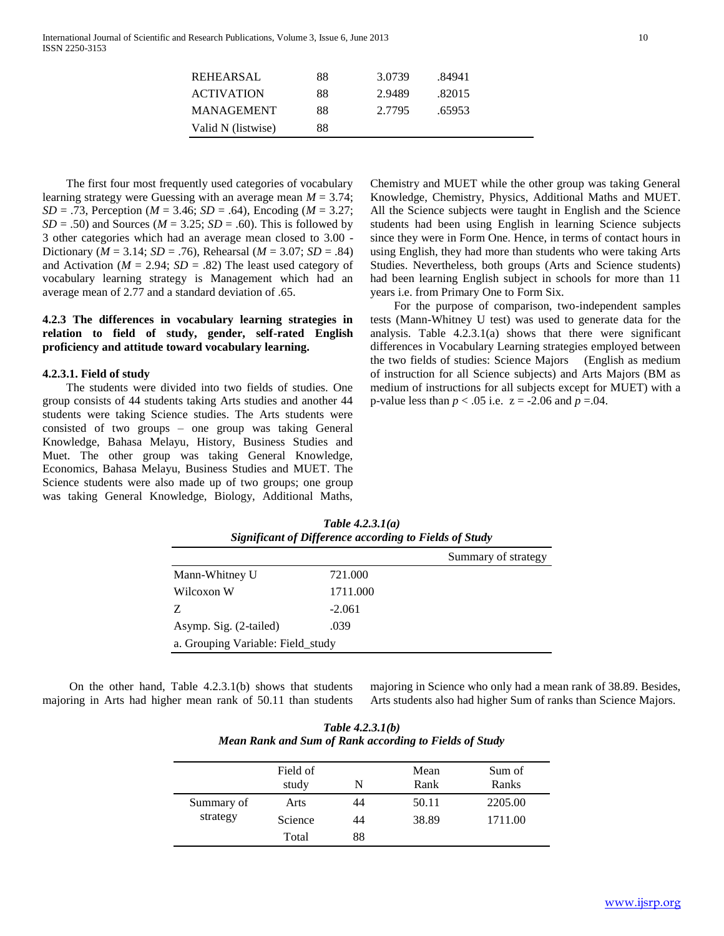| <b>REHEARSAL</b>   | 88 | 3.0739 | .84941 |  |
|--------------------|----|--------|--------|--|
| <b>ACTIVATION</b>  | 88 | 2.9489 | .82015 |  |
| <b>MANAGEMENT</b>  | 88 | 2.7795 | .65953 |  |
| Valid N (listwise) | 88 |        |        |  |

 The first four most frequently used categories of vocabulary learning strategy were Guessing with an average mean *M* = 3.74; *SD* = .73, Perception (*M* = 3.46; *SD* = .64), Encoding (*M* = 3.27;  $SD = .50$ ) and Sources ( $M = 3.25$ ;  $SD = .60$ ). This is followed by 3 other categories which had an average mean closed to 3.00 - Dictionary ( $M = 3.14$ ;  $SD = .76$ ), Rehearsal ( $M = 3.07$ ;  $SD = .84$ ) and Activation ( $M = 2.94$ ;  $SD = .82$ ) The least used category of vocabulary learning strategy is Management which had an average mean of 2.77 and a standard deviation of .65.

# **4.2.3 The differences in vocabulary learning strategies in relation to field of study, gender, self-rated English proficiency and attitude toward vocabulary learning.**

#### **4.2.3.1. Field of study**

 The students were divided into two fields of studies. One group consists of 44 students taking Arts studies and another 44 students were taking Science studies. The Arts students were consisted of two groups – one group was taking General Knowledge, Bahasa Melayu, History, Business Studies and Muet. The other group was taking General Knowledge, Economics, Bahasa Melayu, Business Studies and MUET. The Science students were also made up of two groups; one group was taking General Knowledge, Biology, Additional Maths,

Chemistry and MUET while the other group was taking General Knowledge, Chemistry, Physics, Additional Maths and MUET. All the Science subjects were taught in English and the Science students had been using English in learning Science subjects since they were in Form One. Hence, in terms of contact hours in using English, they had more than students who were taking Arts Studies. Nevertheless, both groups (Arts and Science students) had been learning English subject in schools for more than 11 years i.e. from Primary One to Form Six.

 For the purpose of comparison, two-independent samples tests (Mann-Whitney U test) was used to generate data for the analysis. Table 4.2.3.1(a) shows that there were significant differences in Vocabulary Learning strategies employed between the two fields of studies: Science Majors (English as medium of instruction for all Science subjects) and Arts Majors (BM as medium of instructions for all subjects except for MUET) with a *p*-value less than  $p < .05$  i.e.  $z = -2.06$  and  $p = .04$ .

|                                   |          | Summary of strategy |  |  |
|-----------------------------------|----------|---------------------|--|--|
| Mann-Whitney U                    | 721.000  |                     |  |  |
| Wilcoxon W                        | 1711.000 |                     |  |  |
| Z                                 | $-2.061$ |                     |  |  |
| Asymp. Sig. (2-tailed)            | .039     |                     |  |  |
| a. Grouping Variable: Field_study |          |                     |  |  |

*Table 4.2.3.1(a) Significant of Difference according to Fields of Study*

 On the other hand, Table 4.2.3.1(b) shows that students majoring in Arts had higher mean rank of 50.11 than students majoring in Science who only had a mean rank of 38.89. Besides, Arts students also had higher Sum of ranks than Science Majors.

*Table 4.2.3.1(b) Mean Rank and Sum of Rank according to Fields of Study*

|            | Field of<br>study | N  | Mean<br>Rank | Sum of<br>Ranks |
|------------|-------------------|----|--------------|-----------------|
| Summary of | Arts              | 44 | 50.11        | 2205.00         |
| strategy   | Science           | 44 | 38.89        | 1711.00         |
|            | Total             | 88 |              |                 |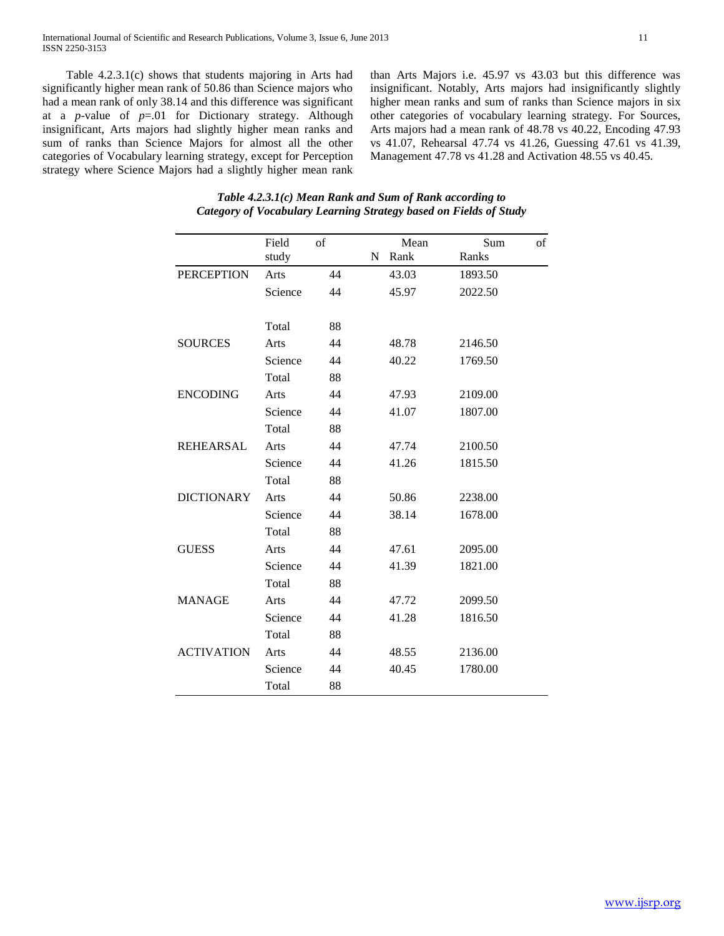Table 4.2.3.1(c) shows that students majoring in Arts had significantly higher mean rank of 50.86 than Science majors who had a mean rank of only 38.14 and this difference was significant at a *p*-value of *p*=.01 for Dictionary strategy. Although insignificant, Arts majors had slightly higher mean ranks and sum of ranks than Science Majors for almost all the other categories of Vocabulary learning strategy, except for Perception strategy where Science Majors had a slightly higher mean rank than Arts Majors i.e. 45.97 vs 43.03 but this difference was insignificant. Notably, Arts majors had insignificantly slightly higher mean ranks and sum of ranks than Science majors in six other categories of vocabulary learning strategy. For Sources, Arts majors had a mean rank of 48.78 vs 40.22, Encoding 47.93 vs 41.07, Rehearsal 47.74 vs 41.26, Guessing 47.61 vs 41.39, Management 47.78 vs 41.28 and Activation 48.55 vs 40.45.

|                   | Field   | of |             | Mean  | Sum     | of |
|-------------------|---------|----|-------------|-------|---------|----|
|                   | study   |    | $\mathbf N$ | Rank  | Ranks   |    |
| <b>PERCEPTION</b> | Arts    | 44 |             | 43.03 | 1893.50 |    |
|                   | Science | 44 |             | 45.97 | 2022.50 |    |
|                   |         |    |             |       |         |    |
|                   | Total   | 88 |             |       |         |    |
| <b>SOURCES</b>    | Arts    | 44 |             | 48.78 | 2146.50 |    |
|                   | Science | 44 |             | 40.22 | 1769.50 |    |
|                   | Total   | 88 |             |       |         |    |
| <b>ENCODING</b>   | Arts    | 44 |             | 47.93 | 2109.00 |    |
|                   | Science | 44 |             | 41.07 | 1807.00 |    |
|                   | Total   | 88 |             |       |         |    |
| <b>REHEARSAL</b>  | Arts    | 44 |             | 47.74 | 2100.50 |    |
|                   | Science | 44 |             | 41.26 | 1815.50 |    |
|                   | Total   | 88 |             |       |         |    |
| <b>DICTIONARY</b> | Arts    | 44 |             | 50.86 | 2238.00 |    |
|                   | Science | 44 |             | 38.14 | 1678.00 |    |
|                   | Total   | 88 |             |       |         |    |
| <b>GUESS</b>      | Arts    | 44 |             | 47.61 | 2095.00 |    |
|                   | Science | 44 |             | 41.39 | 1821.00 |    |
|                   | Total   | 88 |             |       |         |    |
| <b>MANAGE</b>     | Arts    | 44 |             | 47.72 | 2099.50 |    |
|                   | Science | 44 |             | 41.28 | 1816.50 |    |
|                   | Total   | 88 |             |       |         |    |
| <b>ACTIVATION</b> | Arts    | 44 |             | 48.55 | 2136.00 |    |
|                   | Science | 44 |             | 40.45 | 1780.00 |    |
|                   | Total   | 88 |             |       |         |    |

*Table 4.2.3.1(c) Mean Rank and Sum of Rank according to Category of Vocabulary Learning Strategy based on Fields of Study*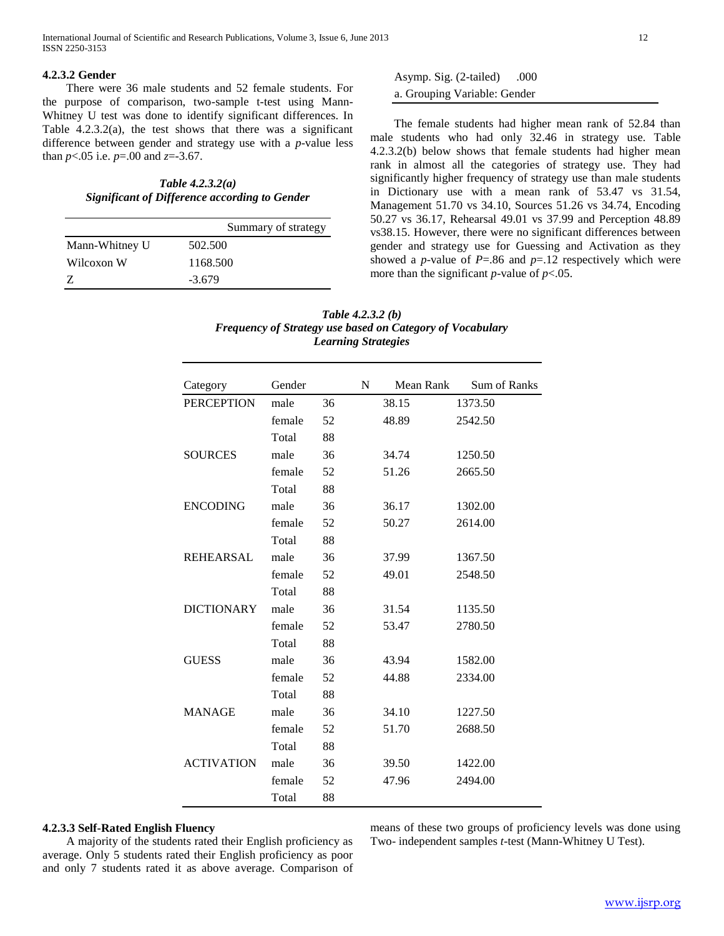## **4.2.3.2 Gender**

 There were 36 male students and 52 female students. For the purpose of comparison, two-sample t-test using Mann-Whitney U test was done to identify significant differences. In Table 4.2.3.2(a), the test shows that there was a significant difference between gender and strategy use with a *p*-value less than *p*<.05 i.e. *p*=.00 and *z*=-3.67.

*Table 4.2.3.2(a) Significant of Difference according to Gender*

|                | Summary of strategy |
|----------------|---------------------|
| Mann-Whitney U | 502.500             |
| Wilcoxon W     | 1168.500            |
|                | $-3.679$            |

Asymp. Sig. (2-tailed) .000 a. Grouping Variable: Gender

 The female students had higher mean rank of 52.84 than male students who had only 32.46 in strategy use. Table 4.2.3.2(b) below shows that female students had higher mean rank in almost all the categories of strategy use. They had significantly higher frequency of strategy use than male students in Dictionary use with a mean rank of 53.47 vs 31.54, Management 51.70 vs 34.10, Sources 51.26 vs 34.74, Encoding 50.27 vs 36.17, Rehearsal 49.01 vs 37.99 and Perception 48.89 vs38.15. However, there were no significant differences between gender and strategy use for Guessing and Activation as they showed a *p*-value of  $P = .86$  and  $p = .12$  respectively which were more than the significant  $p$ -value of  $p$ <.05.

| Table $4.2.3.2(b)$                                               |
|------------------------------------------------------------------|
| <b>Frequency of Strategy use based on Category of Vocabulary</b> |
| <b>Learning Strategies</b>                                       |

| Category          | Gender |    | N | Mean Rank | <b>Sum of Ranks</b> |
|-------------------|--------|----|---|-----------|---------------------|
| <b>PERCEPTION</b> | male   | 36 |   | 38.15     | 1373.50             |
|                   | female | 52 |   | 48.89     | 2542.50             |
|                   | Total  | 88 |   |           |                     |
| <b>SOURCES</b>    | male   | 36 |   | 34.74     | 1250.50             |
|                   | female | 52 |   | 51.26     | 2665.50             |
|                   | Total  | 88 |   |           |                     |
| <b>ENCODING</b>   | male   | 36 |   | 36.17     | 1302.00             |
|                   | female | 52 |   | 50.27     | 2614.00             |
|                   | Total  | 88 |   |           |                     |
| <b>REHEARSAL</b>  | male   | 36 |   | 37.99     | 1367.50             |
|                   | female | 52 |   | 49.01     | 2548.50             |
|                   | Total  | 88 |   |           |                     |
| <b>DICTIONARY</b> | male   | 36 |   | 31.54     | 1135.50             |
|                   | female | 52 |   | 53.47     | 2780.50             |
|                   | Total  | 88 |   |           |                     |
| <b>GUESS</b>      | male   | 36 |   | 43.94     | 1582.00             |
|                   | female | 52 |   | 44.88     | 2334.00             |
|                   | Total  | 88 |   |           |                     |
| <b>MANAGE</b>     | male   | 36 |   | 34.10     | 1227.50             |
|                   | female | 52 |   | 51.70     | 2688.50             |
|                   | Total  | 88 |   |           |                     |
| <b>ACTIVATION</b> | male   | 36 |   | 39.50     | 1422.00             |
|                   | female | 52 |   | 47.96     | 2494.00             |
|                   | Total  | 88 |   |           |                     |

#### **4.2.3.3 Self-Rated English Fluency**

 A majority of the students rated their English proficiency as average. Only 5 students rated their English proficiency as poor and only 7 students rated it as above average. Comparison of means of these two groups of proficiency levels was done using Two- independent samples *t*-test (Mann-Whitney U Test).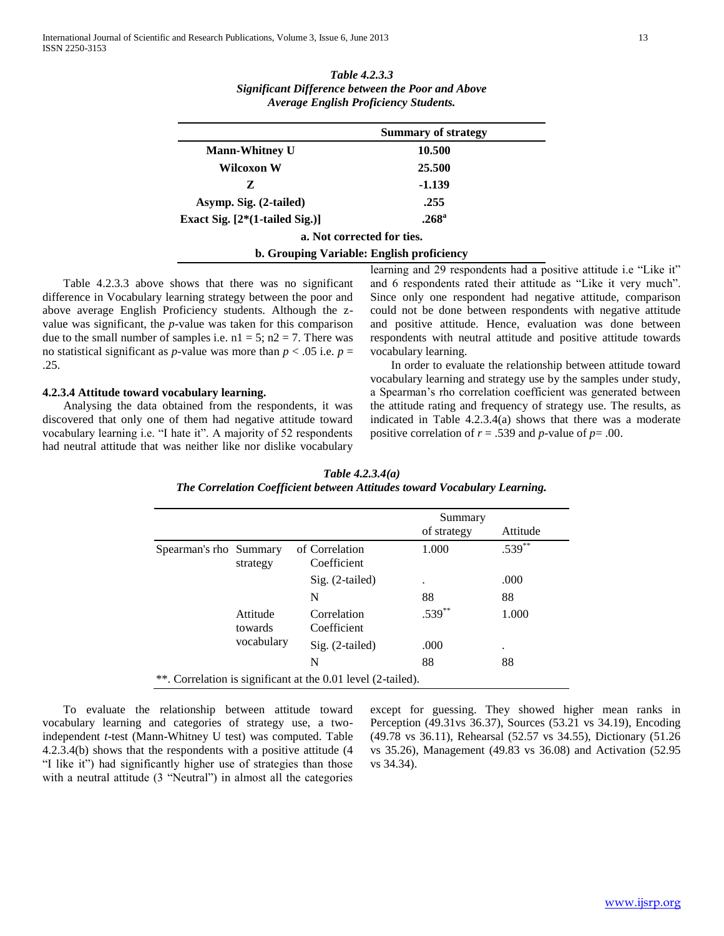| Table 4.2.3.3                                            |
|----------------------------------------------------------|
| <b>Significant Difference between the Poor and Above</b> |
| <b>Average English Proficiency Students.</b>             |

|                                  | <b>Summary of strategy</b>                |
|----------------------------------|-------------------------------------------|
| <b>Mann-Whitney U</b>            | 10.500                                    |
| Wilcoxon W                       | 25.500                                    |
| Z                                | -1.139                                    |
| Asymp. Sig. (2-tailed)           | .255                                      |
| Exact Sig. $[2*(1-tailed Sig.)]$ | .268 <sup>a</sup>                         |
|                                  | a. Not corrected for ties.                |
|                                  | b. Grouping Variable: English proficiency |

 Table 4.2.3.3 above shows that there was no significant difference in Vocabulary learning strategy between the poor and above average English Proficiency students. Although the zvalue was significant, the *p*-value was taken for this comparison due to the small number of samples i.e.  $nl = 5$ ;  $nl = 7$ . There was no statistical significant as *p*-value was more than  $p < .05$  i.e.  $p =$ .25.

## **4.2.3.4 Attitude toward vocabulary learning.**

 Analysing the data obtained from the respondents, it was discovered that only one of them had negative attitude toward vocabulary learning i.e. "I hate it". A majority of 52 respondents had neutral attitude that was neither like nor dislike vocabulary learning and 29 respondents had a positive attitude i.e "Like it" and 6 respondents rated their attitude as "Like it very much". Since only one respondent had negative attitude, comparison could not be done between respondents with negative attitude and positive attitude. Hence, evaluation was done between respondents with neutral attitude and positive attitude towards vocabulary learning.

 In order to evaluate the relationship between attitude toward vocabulary learning and strategy use by the samples under study, a Spearman"s rho correlation coefficient was generated between the attitude rating and frequency of strategy use. The results, as indicated in Table 4.2.3.4(a) shows that there was a moderate positive correlation of  $r = .539$  and *p*-value of  $p = .00$ .

| Table $4.2.3.4(a)$                                                        |
|---------------------------------------------------------------------------|
| The Correlation Coefficient between Attitudes toward Vocabulary Learning. |

|                                    |                            | Summary        |                                                              |
|------------------------------------|----------------------------|----------------|--------------------------------------------------------------|
|                                    |                            | of strategy    | Attitude                                                     |
| Spearman's rho Summary<br>strategy | Coefficient                | 1.000          | $.539***$                                                    |
|                                    | $Sig. (2-tailed)$          | ٠              | .000                                                         |
|                                    | N                          | 88             | 88                                                           |
| Attitude<br>towards                | Correlation<br>Coefficient | $.539***$      | 1.000                                                        |
| vocabulary                         | $Sig. (2-tailed)$          | .000           | ٠                                                            |
|                                    | N                          | 88             | 88                                                           |
|                                    |                            | of Correlation | **. Correlation is significant at the 0.01 level (2-tailed). |

 To evaluate the relationship between attitude toward vocabulary learning and categories of strategy use, a twoindependent *t*-test (Mann-Whitney U test) was computed. Table 4.2.3.4(b) shows that the respondents with a positive attitude (4 "I like it") had significantly higher use of strategies than those with a neutral attitude (3 "Neutral") in almost all the categories except for guessing. They showed higher mean ranks in Perception (49.31vs 36.37), Sources (53.21 vs 34.19), Encoding (49.78 vs 36.11), Rehearsal (52.57 vs 34.55), Dictionary (51.26 vs 35.26), Management (49.83 vs 36.08) and Activation (52.95 vs 34.34).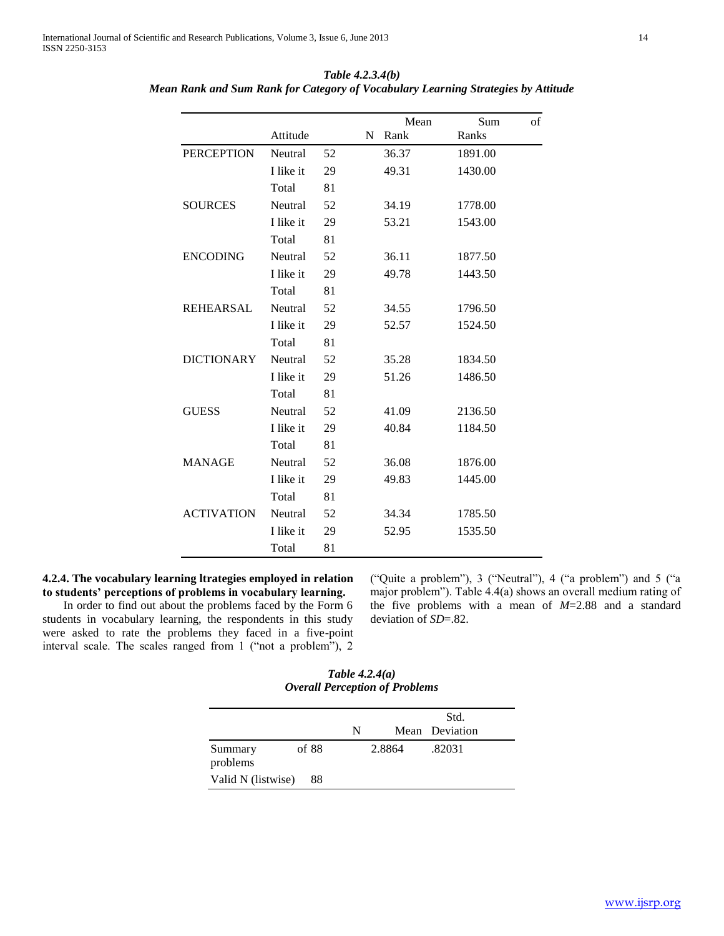|                   |           |    |   | Mean  | Sum     | of |
|-------------------|-----------|----|---|-------|---------|----|
|                   | Attitude  |    | N | Rank  | Ranks   |    |
| <b>PERCEPTION</b> | Neutral   | 52 |   | 36.37 | 1891.00 |    |
|                   | I like it | 29 |   | 49.31 | 1430.00 |    |
|                   | Total     | 81 |   |       |         |    |
| <b>SOURCES</b>    | Neutral   | 52 |   | 34.19 | 1778.00 |    |
|                   | I like it | 29 |   | 53.21 | 1543.00 |    |
|                   | Total     | 81 |   |       |         |    |
| <b>ENCODING</b>   | Neutral   | 52 |   | 36.11 | 1877.50 |    |
|                   | I like it | 29 |   | 49.78 | 1443.50 |    |
|                   | Total     | 81 |   |       |         |    |
| <b>REHEARSAL</b>  | Neutral   | 52 |   | 34.55 | 1796.50 |    |
|                   | I like it | 29 |   | 52.57 | 1524.50 |    |
|                   | Total     | 81 |   |       |         |    |
| <b>DICTIONARY</b> | Neutral   | 52 |   | 35.28 | 1834.50 |    |
|                   | I like it | 29 |   | 51.26 | 1486.50 |    |
|                   | Total     | 81 |   |       |         |    |
| <b>GUESS</b>      | Neutral   | 52 |   | 41.09 | 2136.50 |    |
|                   | I like it | 29 |   | 40.84 | 1184.50 |    |
|                   | Total     | 81 |   |       |         |    |
| <b>MANAGE</b>     | Neutral   | 52 |   | 36.08 | 1876.00 |    |
|                   | I like it | 29 |   | 49.83 | 1445.00 |    |
|                   | Total     | 81 |   |       |         |    |
| <b>ACTIVATION</b> | Neutral   | 52 |   | 34.34 | 1785.50 |    |
|                   | I like it | 29 |   | 52.95 | 1535.50 |    |
|                   | Total     | 81 |   |       |         |    |

*Table 4.2.3.4(b) Mean Rank and Sum Rank for Category of Vocabulary Learning Strategies by Attitude*

# **4.2.4. The vocabulary learning ltrategies employed in relation to students' perceptions of problems in vocabulary learning.**

 In order to find out about the problems faced by the Form 6 students in vocabulary learning, the respondents in this study were asked to rate the problems they faced in a five-point interval scale. The scales ranged from 1 ("not a problem"), 2 ("Quite a problem"), 3 ("Neutral"), 4 ("a problem") and 5 ("a major problem"). Table 4.4(a) shows an overall medium rating of the five problems with a mean of *M*=2.88 and a standard deviation of *SD*=.82.

*Table 4.2.4(a) Overall Perception of Problems*

|                     |       |   |        | Std.           |
|---------------------|-------|---|--------|----------------|
|                     |       | N |        | Mean Deviation |
| Summary<br>problems | of 88 |   | 2.8864 | .82031         |
| Valid N (listwise)  | 88    |   |        |                |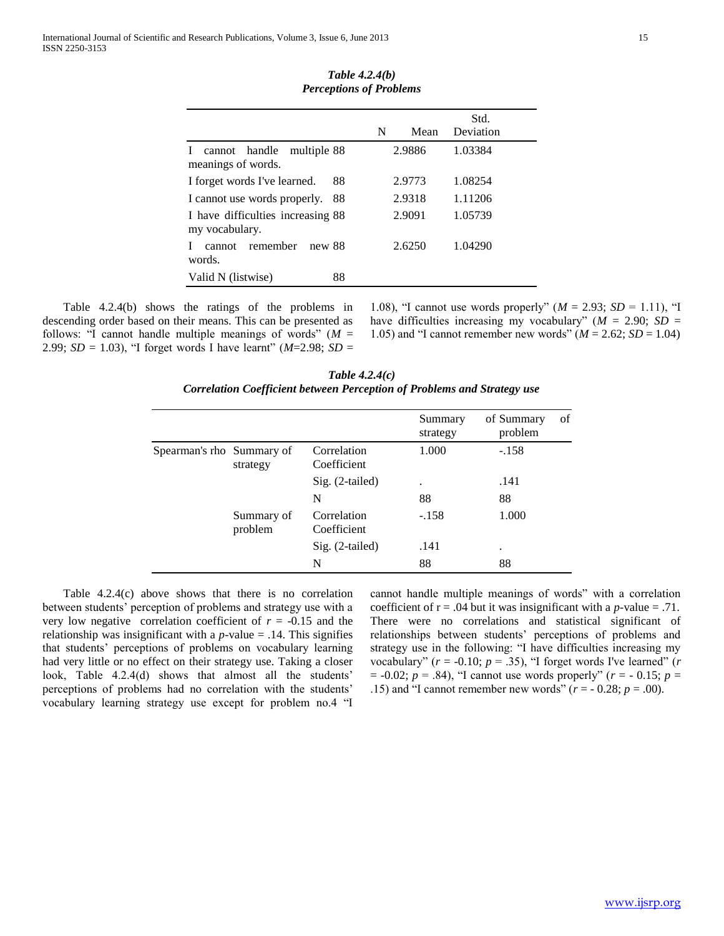|                                                                    |    | N | Mean   | Std.<br>Deviation |
|--------------------------------------------------------------------|----|---|--------|-------------------|
| cannot handle<br>multiple 88<br>$\mathbf{I}$<br>meanings of words. |    |   | 2.9886 | 1.03384           |
| I forget words I've learned.                                       | 88 |   | 2.9773 | 1.08254           |
| I cannot use words properly.                                       | 88 |   | 2.9318 | 1.11206           |
| I have difficulties increasing 88<br>my vocabulary.                |    |   | 2.9091 | 1.05739           |
| cannot remember<br>new 88<br>Ι.<br>words.                          |    |   | 2.6250 | 1.04290           |
| Valid N (listwise)                                                 | 88 |   |        |                   |
|                                                                    |    |   |        |                   |

*Table 4.2.4(b) Perceptions of Problems*

 Table 4.2.4(b) shows the ratings of the problems in descending order based on their means. This can be presented as follows: "I cannot handle multiple meanings of words"  $(M =$ 2.99; *SD* = 1.03), "I forget words I have learnt" ( $M=2.98$ ; *SD* =

1.08), "I cannot use words properly" (*M* = 2.93; *SD* = 1.11), "I have difficulties increasing my vocabulary" ( $M = 2.90$ ; *SD* = 1.05) and "I cannot remember new words"  $(M = 2.62; SD = 1.04)$ 

*Table 4.2.4(c) Correlation Coefficient between Perception of Problems and Strategy use*

|                           |                       |                            | Summary<br>strategy | of Summary<br>problem | of |
|---------------------------|-----------------------|----------------------------|---------------------|-----------------------|----|
| Spearman's rho Summary of | strategy              | Correlation<br>Coefficient | 1.000               | $-.158$               |    |
|                           |                       | $Sig. (2-tailed)$          |                     | .141                  |    |
|                           |                       | N                          | 88                  | 88                    |    |
|                           | Summary of<br>problem | Correlation<br>Coefficient | $-.158$             | 1.000                 |    |
|                           |                       | $Sig. (2-tailed)$          | .141                | ٠                     |    |
|                           |                       | N                          | 88                  | 88                    |    |

 Table 4.2.4(c) above shows that there is no correlation between students" perception of problems and strategy use with a very low negative correlation coefficient of  $r = -0.15$  and the relationship was insignificant with a  $p$ -value = .14. This signifies that students" perceptions of problems on vocabulary learning had very little or no effect on their strategy use. Taking a closer look, Table 4.2.4(d) shows that almost all the students' perceptions of problems had no correlation with the students' vocabulary learning strategy use except for problem no.4 "I cannot handle multiple meanings of words" with a correlation coefficient of  $r = .04$  but it was insignificant with a *p*-value = .71. There were no correlations and statistical significant of relationships between students" perceptions of problems and strategy use in the following: "I have difficulties increasing my vocabulary" ( $r = -0.10$ ;  $p = .35$ ), "I forget words I've learned" ( $r$  $= -0.02$ ;  $p = .84$ ), "I cannot use words properly" ( $r = -0.15$ ;  $p =$ .15) and "I cannot remember new words" ( $r = -0.28$ ;  $p = .00$ ).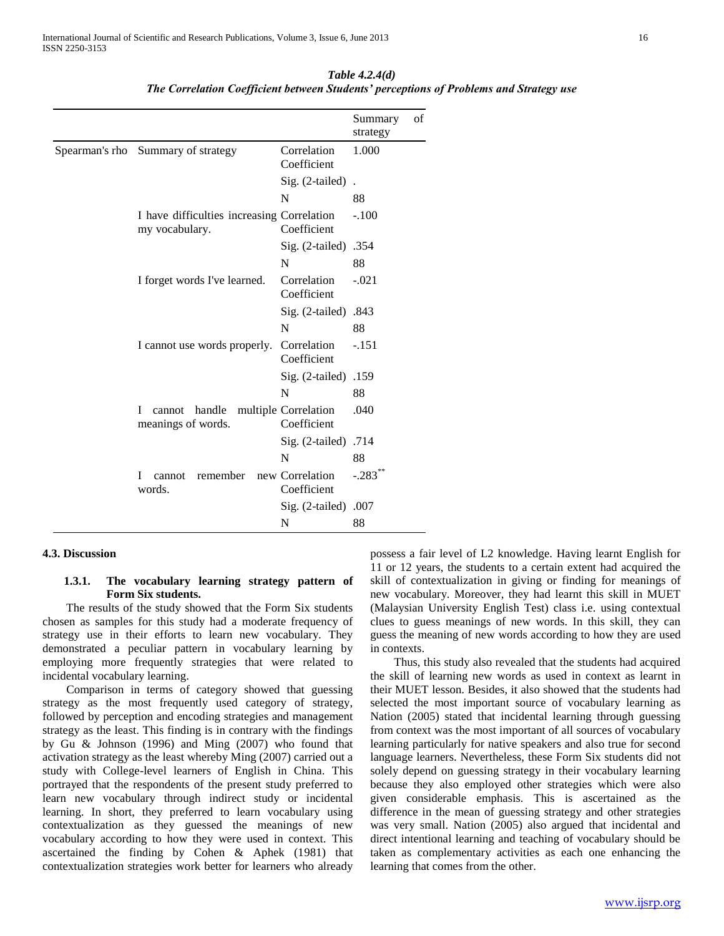|  |                                                              |                                     | Summary<br>strategy   | of |
|--|--------------------------------------------------------------|-------------------------------------|-----------------------|----|
|  | Spearman's rho Summary of strategy                           | Correlation<br>Coefficient          | 1.000                 |    |
|  |                                                              | $Sig. (2-tailed)$ .                 |                       |    |
|  |                                                              | N                                   | 88                    |    |
|  | I have difficulties increasing Correlation<br>my vocabulary. | Coefficient                         | $-.100$               |    |
|  |                                                              | Sig. (2-tailed) .354                |                       |    |
|  |                                                              | N                                   | 88                    |    |
|  | I forget words I've learned.                                 | Correlation<br>Coefficient          | $-.021$               |    |
|  |                                                              | Sig. (2-tailed) .843                |                       |    |
|  |                                                              | N                                   | 88                    |    |
|  | I cannot use words properly.                                 | Correlation<br>Coefficient          | $-.151$               |    |
|  |                                                              | Sig. (2-tailed) .159                |                       |    |
|  |                                                              | N                                   | 88                    |    |
|  | handle<br>L<br>cannot<br>meanings of words.                  | multiple Correlation<br>Coefficient | .040                  |    |
|  |                                                              | Sig. (2-tailed) .714                |                       |    |
|  |                                                              | N                                   | 88                    |    |
|  | remember<br>cannot<br>Ι<br>words.                            | new Correlation<br>Coefficient      | $-.283$ <sup>**</sup> |    |
|  |                                                              | Sig. (2-tailed) .007                |                       |    |
|  |                                                              | N                                   | 88                    |    |

*Table 4.2.4(d) The Correlation Coefficient between Students' perceptions of Problems and Strategy use*

## **4.3. Discussion**

## **1.3.1. The vocabulary learning strategy pattern of Form Six students.**

 The results of the study showed that the Form Six students chosen as samples for this study had a moderate frequency of strategy use in their efforts to learn new vocabulary. They demonstrated a peculiar pattern in vocabulary learning by employing more frequently strategies that were related to incidental vocabulary learning.

 Comparison in terms of category showed that guessing strategy as the most frequently used category of strategy, followed by perception and encoding strategies and management strategy as the least. This finding is in contrary with the findings by Gu & Johnson (1996) and Ming (2007) who found that activation strategy as the least whereby Ming (2007) carried out a study with College-level learners of English in China. This portrayed that the respondents of the present study preferred to learn new vocabulary through indirect study or incidental learning. In short, they preferred to learn vocabulary using contextualization as they guessed the meanings of new vocabulary according to how they were used in context. This ascertained the finding by Cohen & Aphek (1981) that contextualization strategies work better for learners who already

possess a fair level of L2 knowledge. Having learnt English for 11 or 12 years, the students to a certain extent had acquired the skill of contextualization in giving or finding for meanings of new vocabulary. Moreover, they had learnt this skill in MUET (Malaysian University English Test) class i.e. using contextual clues to guess meanings of new words. In this skill, they can guess the meaning of new words according to how they are used in contexts.

 Thus, this study also revealed that the students had acquired the skill of learning new words as used in context as learnt in their MUET lesson. Besides, it also showed that the students had selected the most important source of vocabulary learning as Nation (2005) stated that incidental learning through guessing from context was the most important of all sources of vocabulary learning particularly for native speakers and also true for second language learners. Nevertheless, these Form Six students did not solely depend on guessing strategy in their vocabulary learning because they also employed other strategies which were also given considerable emphasis. This is ascertained as the difference in the mean of guessing strategy and other strategies was very small. Nation (2005) also argued that incidental and direct intentional learning and teaching of vocabulary should be taken as complementary activities as each one enhancing the learning that comes from the other.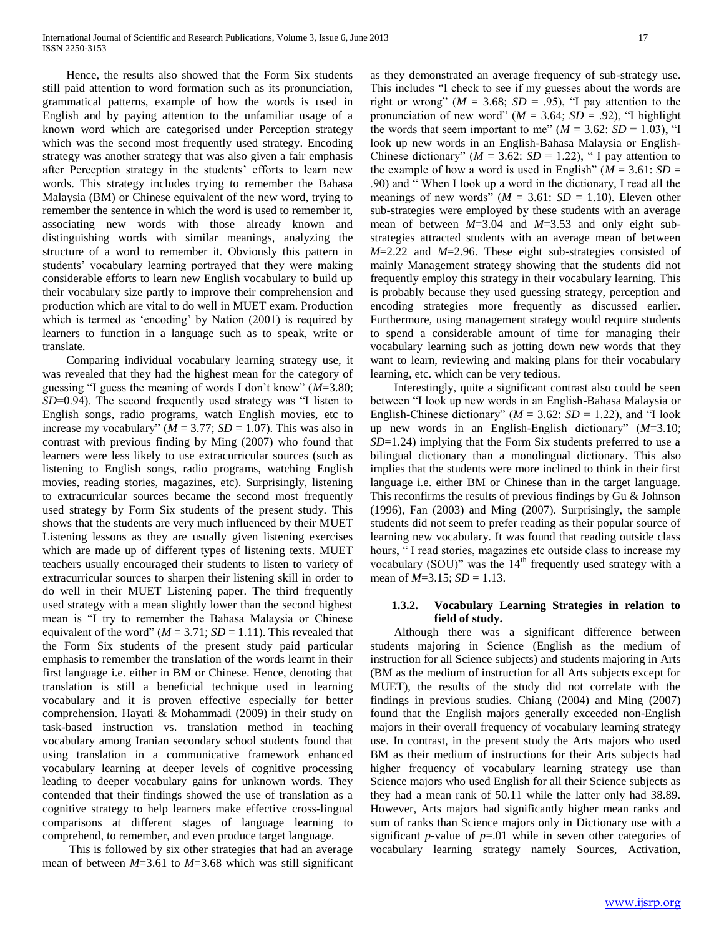Hence, the results also showed that the Form Six students still paid attention to word formation such as its pronunciation, grammatical patterns, example of how the words is used in English and by paying attention to the unfamiliar usage of a known word which are categorised under Perception strategy which was the second most frequently used strategy. Encoding strategy was another strategy that was also given a fair emphasis after Perception strategy in the students' efforts to learn new words. This strategy includes trying to remember the Bahasa Malaysia (BM) or Chinese equivalent of the new word, trying to remember the sentence in which the word is used to remember it, associating new words with those already known and distinguishing words with similar meanings, analyzing the structure of a word to remember it. Obviously this pattern in students' vocabulary learning portrayed that they were making considerable efforts to learn new English vocabulary to build up their vocabulary size partly to improve their comprehension and production which are vital to do well in MUET exam. Production which is termed as 'encoding' by Nation (2001) is required by learners to function in a language such as to speak, write or translate.

 Comparing individual vocabulary learning strategy use, it was revealed that they had the highest mean for the category of guessing "I guess the meaning of words I don"t know" (*M*=3.80; *SD*=0.94). The second frequently used strategy was "I listen to English songs, radio programs, watch English movies, etc to increase my vocabulary"  $(M = 3.77; SD = 1.07)$ . This was also in contrast with previous finding by Ming (2007) who found that learners were less likely to use extracurricular sources (such as listening to English songs, radio programs, watching English movies, reading stories, magazines, etc). Surprisingly, listening to extracurricular sources became the second most frequently used strategy by Form Six students of the present study. This shows that the students are very much influenced by their MUET Listening lessons as they are usually given listening exercises which are made up of different types of listening texts. MUET teachers usually encouraged their students to listen to variety of extracurricular sources to sharpen their listening skill in order to do well in their MUET Listening paper. The third frequently used strategy with a mean slightly lower than the second highest mean is "I try to remember the Bahasa Malaysia or Chinese equivalent of the word" ( $M = 3.71$ ;  $SD = 1.11$ ). This revealed that the Form Six students of the present study paid particular emphasis to remember the translation of the words learnt in their first language i.e. either in BM or Chinese. Hence, denoting that translation is still a beneficial technique used in learning vocabulary and it is proven effective especially for better comprehension. Hayati & Mohammadi (2009) in their study on task-based instruction vs. translation method in teaching vocabulary among Iranian secondary school students found that using translation in a communicative framework enhanced vocabulary learning at deeper levels of cognitive processing leading to deeper vocabulary gains for unknown words. They contended that their findings showed the use of translation as a cognitive strategy to help learners make effective cross-lingual comparisons at different stages of language learning to comprehend, to remember, and even produce target language.

 This is followed by six other strategies that had an average mean of between *M*=3.61 to *M*=3.68 which was still significant as they demonstrated an average frequency of sub-strategy use. This includes "I check to see if my guesses about the words are right or wrong" ( $M = 3.68$ ;  $SD = .95$ ), "I pay attention to the pronunciation of new word" ( $M = 3.64$ ;  $SD = .92$ ), "I highlight the words that seem important to me"  $(M = 3.62: SD = 1.03)$ , "I look up new words in an English-Bahasa Malaysia or English-Chinese dictionary" ( $M = 3.62$ :  $SD = 1.22$ ), " I pay attention to the example of how a word is used in English" ( $M = 3.61$ :  $SD =$ .90) and " When I look up a word in the dictionary, I read all the meanings of new words" ( $M = 3.61$ :  $SD = 1.10$ ). Eleven other sub-strategies were employed by these students with an average mean of between *M*=3.04 and *M*=3.53 and only eight substrategies attracted students with an average mean of between *M*=2.22 and *M*=2.96. These eight sub-strategies consisted of mainly Management strategy showing that the students did not frequently employ this strategy in their vocabulary learning. This is probably because they used guessing strategy, perception and encoding strategies more frequently as discussed earlier. Furthermore, using management strategy would require students to spend a considerable amount of time for managing their vocabulary learning such as jotting down new words that they want to learn, reviewing and making plans for their vocabulary learning, etc. which can be very tedious.

 Interestingly, quite a significant contrast also could be seen between "I look up new words in an English-Bahasa Malaysia or English-Chinese dictionary" ( $M = 3.62$ :  $SD = 1.22$ ), and "I look up new words in an English-English dictionary" (*M*=3.10; *SD*=1.24) implying that the Form Six students preferred to use a bilingual dictionary than a monolingual dictionary. This also implies that the students were more inclined to think in their first language i.e. either BM or Chinese than in the target language. This reconfirms the results of previous findings by Gu & Johnson (1996), Fan (2003) and Ming (2007). Surprisingly, the sample students did not seem to prefer reading as their popular source of learning new vocabulary. It was found that reading outside class hours, "I read stories, magazines etc outside class to increase my vocabulary (SOU)" was the  $14<sup>th</sup>$  frequently used strategy with a mean of *M*=3.15; *SD* = 1.13.

# **1.3.2. Vocabulary Learning Strategies in relation to field of study.**

 Although there was a significant difference between students majoring in Science (English as the medium of instruction for all Science subjects) and students majoring in Arts (BM as the medium of instruction for all Arts subjects except for MUET), the results of the study did not correlate with the findings in previous studies. Chiang (2004) and Ming (2007) found that the English majors generally exceeded non-English majors in their overall frequency of vocabulary learning strategy use. In contrast, in the present study the Arts majors who used BM as their medium of instructions for their Arts subjects had higher frequency of vocabulary learning strategy use than Science majors who used English for all their Science subjects as they had a mean rank of 50.11 while the latter only had 38.89. However, Arts majors had significantly higher mean ranks and sum of ranks than Science majors only in Dictionary use with a significant *p*-value of  $p=01$  while in seven other categories of vocabulary learning strategy namely Sources, Activation,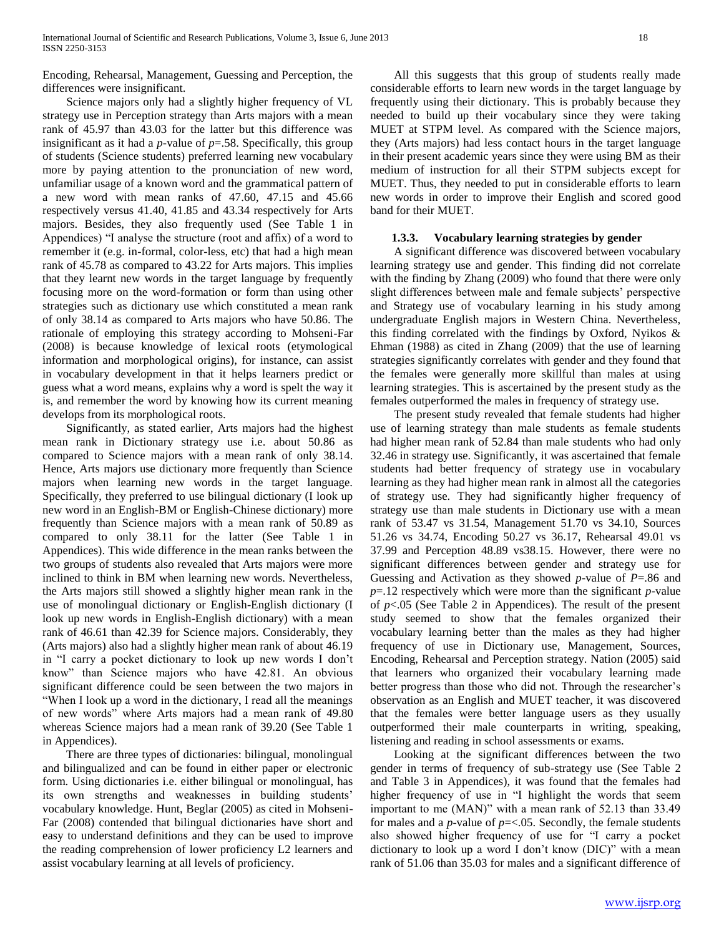Encoding, Rehearsal, Management, Guessing and Perception, the differences were insignificant.

 Science majors only had a slightly higher frequency of VL strategy use in Perception strategy than Arts majors with a mean rank of 45.97 than 43.03 for the latter but this difference was insignificant as it had a  $p$ -value of  $p = .58$ . Specifically, this group of students (Science students) preferred learning new vocabulary more by paying attention to the pronunciation of new word, unfamiliar usage of a known word and the grammatical pattern of a new word with mean ranks of 47.60, 47.15 and 45.66 respectively versus 41.40, 41.85 and 43.34 respectively for Arts majors. Besides, they also frequently used (See Table 1 in Appendices) "I analyse the structure (root and affix) of a word to remember it (e.g. in-formal, color-less, etc) that had a high mean rank of 45.78 as compared to 43.22 for Arts majors. This implies that they learnt new words in the target language by frequently focusing more on the word-formation or form than using other strategies such as dictionary use which constituted a mean rank of only 38.14 as compared to Arts majors who have 50.86. The rationale of employing this strategy according to Mohseni-Far (2008) is because knowledge of lexical roots (etymological information and morphological origins), for instance, can assist in vocabulary development in that it helps learners predict or guess what a word means, explains why a word is spelt the way it is, and remember the word by knowing how its current meaning develops from its morphological roots.

 Significantly, as stated earlier, Arts majors had the highest mean rank in Dictionary strategy use i.e. about 50.86 as compared to Science majors with a mean rank of only 38.14. Hence, Arts majors use dictionary more frequently than Science majors when learning new words in the target language. Specifically, they preferred to use bilingual dictionary (I look up new word in an English-BM or English-Chinese dictionary) more frequently than Science majors with a mean rank of 50.89 as compared to only 38.11 for the latter (See Table 1 in Appendices). This wide difference in the mean ranks between the two groups of students also revealed that Arts majors were more inclined to think in BM when learning new words. Nevertheless, the Arts majors still showed a slightly higher mean rank in the use of monolingual dictionary or English-English dictionary (I look up new words in English-English dictionary) with a mean rank of 46.61 than 42.39 for Science majors. Considerably, they (Arts majors) also had a slightly higher mean rank of about 46.19 in "I carry a pocket dictionary to look up new words I don"t know" than Science majors who have 42.81. An obvious significant difference could be seen between the two majors in "When I look up a word in the dictionary, I read all the meanings of new words" where Arts majors had a mean rank of 49.80 whereas Science majors had a mean rank of 39.20 (See Table 1 in Appendices).

 There are three types of dictionaries: bilingual, monolingual and bilingualized and can be found in either paper or electronic form. Using dictionaries i.e. either bilingual or monolingual, has its own strengths and weaknesses in building students' vocabulary knowledge. Hunt, Beglar (2005) as cited in Mohseni-Far (2008) contended that bilingual dictionaries have short and easy to understand definitions and they can be used to improve the reading comprehension of lower proficiency L2 learners and assist vocabulary learning at all levels of proficiency.

 All this suggests that this group of students really made considerable efforts to learn new words in the target language by frequently using their dictionary. This is probably because they needed to build up their vocabulary since they were taking MUET at STPM level. As compared with the Science majors, they (Arts majors) had less contact hours in the target language in their present academic years since they were using BM as their medium of instruction for all their STPM subjects except for MUET. Thus, they needed to put in considerable efforts to learn new words in order to improve their English and scored good band for their MUET.

# **1.3.3. Vocabulary learning strategies by gender**

 A significant difference was discovered between vocabulary learning strategy use and gender. This finding did not correlate with the finding by Zhang (2009) who found that there were only slight differences between male and female subjects' perspective and Strategy use of vocabulary learning in his study among undergraduate English majors in Western China. Nevertheless, this finding correlated with the findings by Oxford, Nyikos & Ehman (1988) as cited in Zhang (2009) that the use of learning strategies significantly correlates with gender and they found that the females were generally more skillful than males at using learning strategies. This is ascertained by the present study as the females outperformed the males in frequency of strategy use.

 The present study revealed that female students had higher use of learning strategy than male students as female students had higher mean rank of 52.84 than male students who had only 32.46 in strategy use. Significantly, it was ascertained that female students had better frequency of strategy use in vocabulary learning as they had higher mean rank in almost all the categories of strategy use. They had significantly higher frequency of strategy use than male students in Dictionary use with a mean rank of 53.47 vs 31.54, Management 51.70 vs 34.10, Sources 51.26 vs 34.74, Encoding 50.27 vs 36.17, Rehearsal 49.01 vs 37.99 and Perception 48.89 vs38.15. However, there were no significant differences between gender and strategy use for Guessing and Activation as they showed *p*-value of *P*=.86 and *p*=.12 respectively which were more than the significant *p*-value of  $p<.05$  (See Table 2 in Appendices). The result of the present study seemed to show that the females organized their vocabulary learning better than the males as they had higher frequency of use in Dictionary use, Management, Sources, Encoding, Rehearsal and Perception strategy. Nation (2005) said that learners who organized their vocabulary learning made better progress than those who did not. Through the researcher's observation as an English and MUET teacher, it was discovered that the females were better language users as they usually outperformed their male counterparts in writing, speaking, listening and reading in school assessments or exams.

 Looking at the significant differences between the two gender in terms of frequency of sub-strategy use (See Table 2 and Table 3 in Appendices), it was found that the females had higher frequency of use in "I highlight the words that seem important to me (MAN)" with a mean rank of 52.13 than 33.49 for males and a  $p$ -value of  $p = < .05$ . Secondly, the female students also showed higher frequency of use for "I carry a pocket dictionary to look up a word I don"t know (DIC)" with a mean rank of 51.06 than 35.03 for males and a significant difference of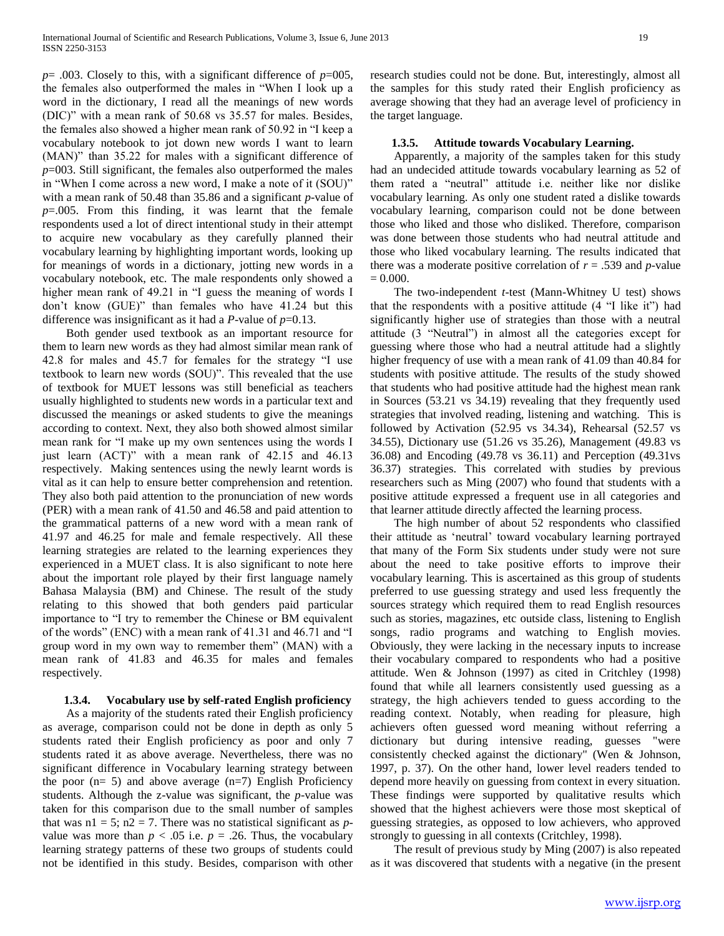$p=$  .003. Closely to this, with a significant difference of  $p=005$ , the females also outperformed the males in "When I look up a word in the dictionary, I read all the meanings of new words (DIC)" with a mean rank of 50.68 vs 35.57 for males. Besides, the females also showed a higher mean rank of 50.92 in "I keep a vocabulary notebook to jot down new words I want to learn (MAN)" than 35.22 for males with a significant difference of *p*=003. Still significant, the females also outperformed the males in "When I come across a new word, I make a note of it (SOU)" with a mean rank of 50.48 than 35.86 and a significant *p*-value of *p*=.005. From this finding, it was learnt that the female respondents used a lot of direct intentional study in their attempt to acquire new vocabulary as they carefully planned their vocabulary learning by highlighting important words, looking up for meanings of words in a dictionary, jotting new words in a vocabulary notebook, etc. The male respondents only showed a higher mean rank of 49.21 in "I guess the meaning of words I don"t know (GUE)" than females who have 41.24 but this difference was insignificant as it had a *P*-value of *p*=0.13.

 Both gender used textbook as an important resource for them to learn new words as they had almost similar mean rank of 42.8 for males and 45.7 for females for the strategy "I use textbook to learn new words (SOU)". This revealed that the use of textbook for MUET lessons was still beneficial as teachers usually highlighted to students new words in a particular text and discussed the meanings or asked students to give the meanings according to context. Next, they also both showed almost similar mean rank for "I make up my own sentences using the words I just learn (ACT)" with a mean rank of 42.15 and 46.13 respectively. Making sentences using the newly learnt words is vital as it can help to ensure better comprehension and retention. They also both paid attention to the pronunciation of new words (PER) with a mean rank of 41.50 and 46.58 and paid attention to the grammatical patterns of a new word with a mean rank of 41.97 and 46.25 for male and female respectively. All these learning strategies are related to the learning experiences they experienced in a MUET class. It is also significant to note here about the important role played by their first language namely Bahasa Malaysia (BM) and Chinese. The result of the study relating to this showed that both genders paid particular importance to "I try to remember the Chinese or BM equivalent of the words" (ENC) with a mean rank of 41.31 and 46.71 and "I group word in my own way to remember them" (MAN) with a mean rank of 41.83 and 46.35 for males and females respectively.

# **1.3.4. Vocabulary use by self-rated English proficiency**

 As a majority of the students rated their English proficiency as average, comparison could not be done in depth as only 5 students rated their English proficiency as poor and only 7 students rated it as above average. Nevertheless, there was no significant difference in Vocabulary learning strategy between the poor  $(n= 5)$  and above average  $(n=7)$  English Proficiency students. Although the z-value was significant, the *p*-value was taken for this comparison due to the small number of samples that was  $n1 = 5$ ;  $n2 = 7$ . There was no statistical significant as *p*value was more than  $p < .05$  i.e.  $p = .26$ . Thus, the vocabulary learning strategy patterns of these two groups of students could not be identified in this study. Besides, comparison with other

research studies could not be done. But, interestingly, almost all the samples for this study rated their English proficiency as average showing that they had an average level of proficiency in the target language.

#### **1.3.5. Attitude towards Vocabulary Learning.**

 Apparently, a majority of the samples taken for this study had an undecided attitude towards vocabulary learning as 52 of them rated a "neutral" attitude i.e. neither like nor dislike vocabulary learning. As only one student rated a dislike towards vocabulary learning, comparison could not be done between those who liked and those who disliked. Therefore, comparison was done between those students who had neutral attitude and those who liked vocabulary learning. The results indicated that there was a moderate positive correlation of  $r = .539$  and *p*-value  $= 0.000.$ 

 The two-independent *t*-test (Mann-Whitney U test) shows that the respondents with a positive attitude (4 "I like it") had significantly higher use of strategies than those with a neutral attitude (3 "Neutral") in almost all the categories except for guessing where those who had a neutral attitude had a slightly higher frequency of use with a mean rank of 41.09 than 40.84 for students with positive attitude. The results of the study showed that students who had positive attitude had the highest mean rank in Sources (53.21 vs 34.19) revealing that they frequently used strategies that involved reading, listening and watching. This is followed by Activation (52.95 vs 34.34), Rehearsal (52.57 vs 34.55), Dictionary use (51.26 vs 35.26), Management (49.83 vs 36.08) and Encoding (49.78 vs 36.11) and Perception (49.31vs 36.37) strategies. This correlated with studies by previous researchers such as Ming (2007) who found that students with a positive attitude expressed a frequent use in all categories and that learner attitude directly affected the learning process.

 The high number of about 52 respondents who classified their attitude as "neutral" toward vocabulary learning portrayed that many of the Form Six students under study were not sure about the need to take positive efforts to improve their vocabulary learning. This is ascertained as this group of students preferred to use guessing strategy and used less frequently the sources strategy which required them to read English resources such as stories, magazines, etc outside class, listening to English songs, radio programs and watching to English movies. Obviously, they were lacking in the necessary inputs to increase their vocabulary compared to respondents who had a positive attitude. Wen & Johnson (1997) as cited in Critchley (1998) found that while all learners consistently used guessing as a strategy, the high achievers tended to guess according to the reading context. Notably, when reading for pleasure, high achievers often guessed word meaning without referring a dictionary but during intensive reading, guesses "were consistently checked against the dictionary" (Wen & Johnson, 1997, p. 37). On the other hand, lower level readers tended to depend more heavily on guessing from context in every situation. These findings were supported by qualitative results which showed that the highest achievers were those most skeptical of guessing strategies, as opposed to low achievers, who approved strongly to guessing in all contexts (Critchley, 1998).

 The result of previous study by Ming (2007) is also repeated as it was discovered that students with a negative (in the present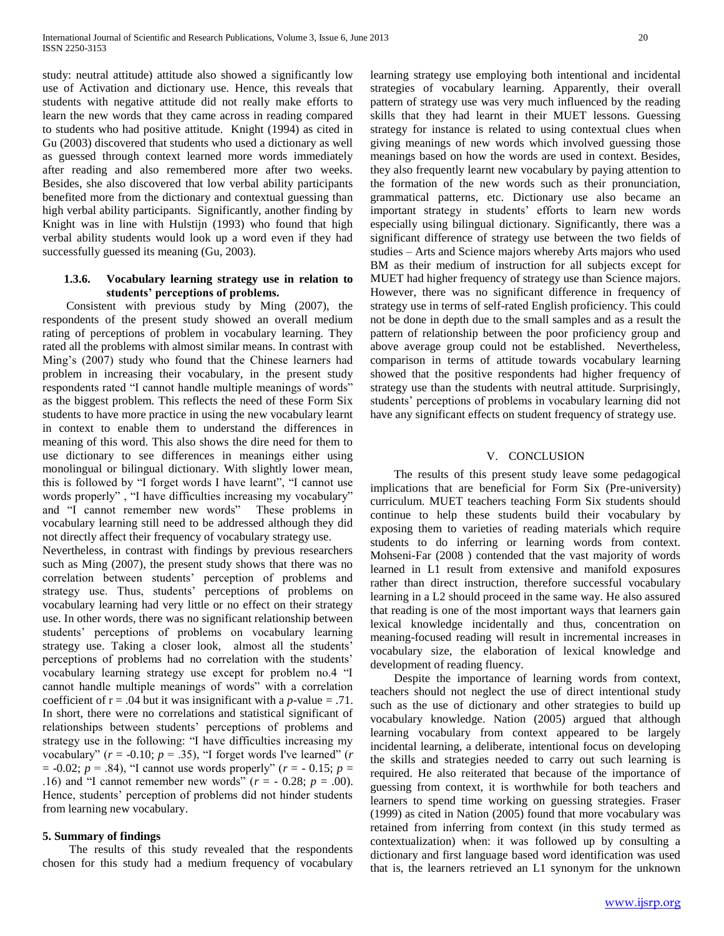study: neutral attitude) attitude also showed a significantly low use of Activation and dictionary use. Hence, this reveals that students with negative attitude did not really make efforts to learn the new words that they came across in reading compared to students who had positive attitude. Knight (1994) as cited in Gu (2003) discovered that students who used a dictionary as well as guessed through context learned more words immediately after reading and also remembered more after two weeks. Besides, she also discovered that low verbal ability participants benefited more from the dictionary and contextual guessing than high verbal ability participants. Significantly, another finding by Knight was in line with Hulstijn (1993) who found that high verbal ability students would look up a word even if they had successfully guessed its meaning (Gu, 2003).

# **1.3.6. Vocabulary learning strategy use in relation to students' perceptions of problems.**

 Consistent with previous study by Ming (2007), the respondents of the present study showed an overall medium rating of perceptions of problem in vocabulary learning. They rated all the problems with almost similar means. In contrast with Ming"s (2007) study who found that the Chinese learners had problem in increasing their vocabulary, in the present study respondents rated "I cannot handle multiple meanings of words" as the biggest problem. This reflects the need of these Form Six students to have more practice in using the new vocabulary learnt in context to enable them to understand the differences in meaning of this word. This also shows the dire need for them to use dictionary to see differences in meanings either using monolingual or bilingual dictionary. With slightly lower mean, this is followed by "I forget words I have learnt", "I cannot use words properly" , "I have difficulties increasing my vocabulary" and "I cannot remember new words" These problems in vocabulary learning still need to be addressed although they did not directly affect their frequency of vocabulary strategy use.

Nevertheless, in contrast with findings by previous researchers such as Ming (2007), the present study shows that there was no correlation between students" perception of problems and strategy use. Thus, students' perceptions of problems on vocabulary learning had very little or no effect on their strategy use. In other words, there was no significant relationship between students" perceptions of problems on vocabulary learning strategy use. Taking a closer look, almost all the students' perceptions of problems had no correlation with the students' vocabulary learning strategy use except for problem no.4 "I cannot handle multiple meanings of words" with a correlation coefficient of  $r = .04$  but it was insignificant with a *p*-value = .71. In short, there were no correlations and statistical significant of relationships between students" perceptions of problems and strategy use in the following: "I have difficulties increasing my vocabulary" ( $r = -0.10$ ;  $p = .35$ ), "I forget words I've learned" ( $r$  $= -0.02$ ;  $p = .84$ ), "I cannot use words properly" ( $r = -0.15$ ;  $p =$ .16) and "I cannot remember new words"  $(r = -0.28; p = .00)$ . Hence, students' perception of problems did not hinder students from learning new vocabulary.

# **5. Summary of findings**

 The results of this study revealed that the respondents chosen for this study had a medium frequency of vocabulary

learning strategy use employing both intentional and incidental strategies of vocabulary learning. Apparently, their overall pattern of strategy use was very much influenced by the reading skills that they had learnt in their MUET lessons. Guessing strategy for instance is related to using contextual clues when giving meanings of new words which involved guessing those meanings based on how the words are used in context. Besides, they also frequently learnt new vocabulary by paying attention to the formation of the new words such as their pronunciation, grammatical patterns, etc. Dictionary use also became an important strategy in students' efforts to learn new words especially using bilingual dictionary. Significantly, there was a significant difference of strategy use between the two fields of studies – Arts and Science majors whereby Arts majors who used BM as their medium of instruction for all subjects except for MUET had higher frequency of strategy use than Science majors. However, there was no significant difference in frequency of strategy use in terms of self-rated English proficiency. This could not be done in depth due to the small samples and as a result the pattern of relationship between the poor proficiency group and above average group could not be established. Nevertheless, comparison in terms of attitude towards vocabulary learning showed that the positive respondents had higher frequency of strategy use than the students with neutral attitude. Surprisingly, students' perceptions of problems in vocabulary learning did not have any significant effects on student frequency of strategy use.

#### V. CONCLUSION

 The results of this present study leave some pedagogical implications that are beneficial for Form Six (Pre-university) curriculum. MUET teachers teaching Form Six students should continue to help these students build their vocabulary by exposing them to varieties of reading materials which require students to do inferring or learning words from context. Mohseni-Far (2008 ) contended that the vast majority of words learned in L1 result from extensive and manifold exposures rather than direct instruction, therefore successful vocabulary learning in a L2 should proceed in the same way. He also assured that reading is one of the most important ways that learners gain lexical knowledge incidentally and thus, concentration on meaning-focused reading will result in incremental increases in vocabulary size, the elaboration of lexical knowledge and development of reading fluency.

 Despite the importance of learning words from context, teachers should not neglect the use of direct intentional study such as the use of dictionary and other strategies to build up vocabulary knowledge. Nation (2005) argued that although learning vocabulary from context appeared to be largely incidental learning, a deliberate, intentional focus on developing the skills and strategies needed to carry out such learning is required. He also reiterated that because of the importance of guessing from context, it is worthwhile for both teachers and learners to spend time working on guessing strategies. Fraser (1999) as cited in Nation (2005) found that more vocabulary was retained from inferring from context (in this study termed as contextualization) when: it was followed up by consulting a dictionary and first language based word identification was used that is, the learners retrieved an L1 synonym for the unknown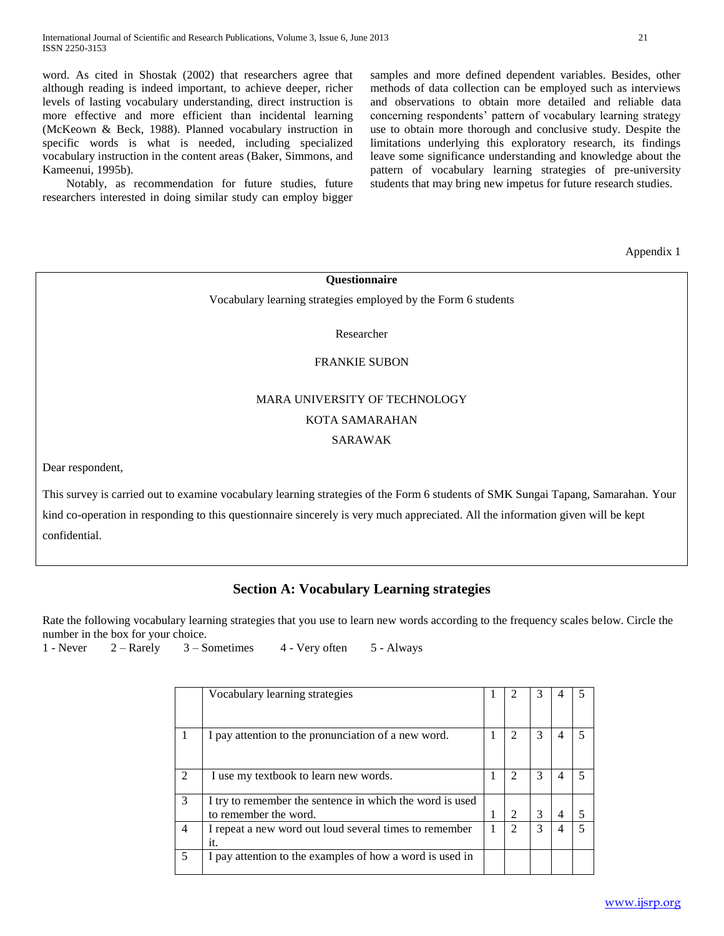word. As cited in Shostak (2002) that researchers agree that although reading is indeed important, to achieve deeper, richer levels of lasting vocabulary understanding, direct instruction is more effective and more efficient than incidental learning (McKeown & Beck, 1988). Planned vocabulary instruction in specific words is what is needed, including specialized vocabulary instruction in the content areas (Baker, Simmons, and Kameenui, 1995b).

 Notably, as recommendation for future studies, future researchers interested in doing similar study can employ bigger samples and more defined dependent variables. Besides, other methods of data collection can be employed such as interviews and observations to obtain more detailed and reliable data concerning respondents' pattern of vocabulary learning strategy use to obtain more thorough and conclusive study. Despite the limitations underlying this exploratory research, its findings leave some significance understanding and knowledge about the pattern of vocabulary learning strategies of pre-university students that may bring new impetus for future research studies.

Appendix 1

**Questionnaire**

Vocabulary learning strategies employed by the Form 6 students

Researcher

### FRANKIE SUBON

# MARA UNIVERSITY OF TECHNOLOGY KOTA SAMARAHAN

# SARAWAK

Dear respondent,

This survey is carried out to examine vocabulary learning strategies of the Form 6 students of SMK Sungai Tapang, Samarahan. Your kind co-operation in responding to this questionnaire sincerely is very much appreciated. All the information given will be kept confidential.

# **Section A: Vocabulary Learning strategies**

Rate the following vocabulary learning strategies that you use to learn new words according to the frequency scales below. Circle the number in the box for your choice.

1 - Never  $2 -$  Rarely  $3 -$  Sometimes  $4 -$  Very often  $5 -$  Always

|   | Vocabulary learning strategies                                                    |                |   |  |
|---|-----------------------------------------------------------------------------------|----------------|---|--|
|   | I pay attention to the pronunciation of a new word.                               |                | 3 |  |
|   | I use my textbook to learn new words.                                             | $\mathfrak{D}$ | 3 |  |
| 3 | I try to remember the sentence in which the word is used<br>to remember the word. | $\mathfrak{D}$ | 3 |  |
| 4 | I repeat a new word out loud several times to remember<br>it.                     |                | 3 |  |
|   | I pay attention to the examples of how a word is used in                          |                |   |  |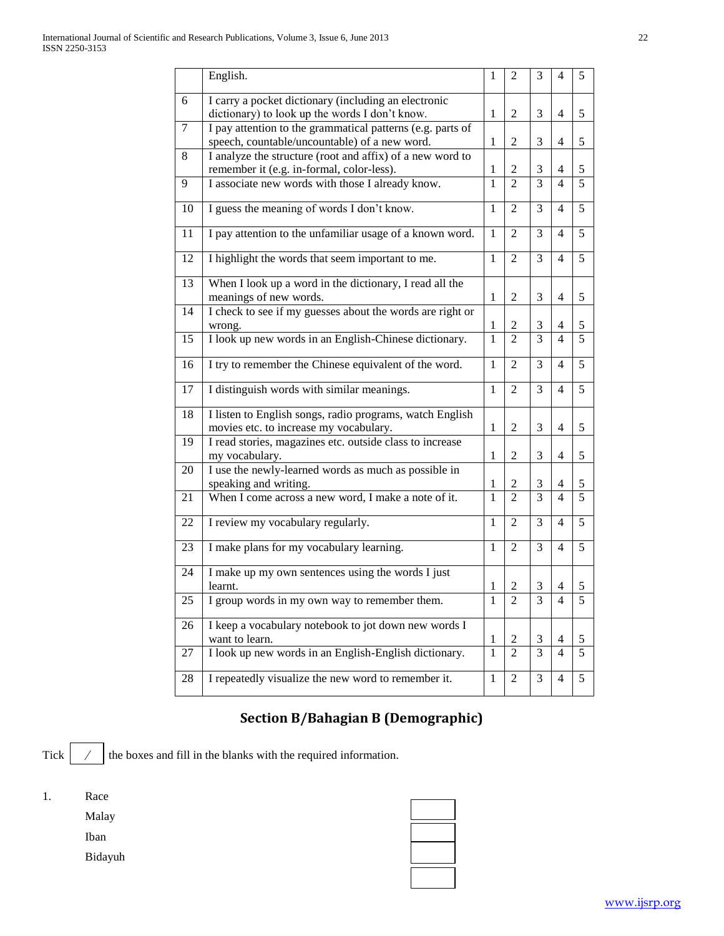|    | English.                                                                   | 1            | 2              | 3              | 4              | 5              |
|----|----------------------------------------------------------------------------|--------------|----------------|----------------|----------------|----------------|
| 6  | I carry a pocket dictionary (including an electronic                       |              |                |                |                |                |
|    | dictionary) to look up the words I don't know.                             | 1            | 2              | 3              | 4              | 5              |
| 7  | I pay attention to the grammatical patterns (e.g. parts of                 |              |                |                |                |                |
|    | speech, countable/uncountable) of a new word.                              | 1            | 2              | 3              | 4              | 5              |
| 8  | I analyze the structure (root and affix) of a new word to                  |              |                |                |                |                |
|    | remember it (e.g. in-formal, color-less).                                  | 1            | 2              | 3              | 4              | 5              |
| 9  | I associate new words with those I already know.                           | $\mathbf{1}$ | $\mathfrak{D}$ | 3              | 4              | 5              |
| 10 | I guess the meaning of words I don't know.                                 | 1            | 2              | 3              | 4              | 5              |
| 11 | I pay attention to the unfamiliar usage of a known word.                   | 1            | $\mathfrak{D}$ | 3              | 4              | 5              |
| 12 | I highlight the words that seem important to me.                           | 1            | $\overline{2}$ | 3              | 4              | 5              |
| 13 | When I look up a word in the dictionary, I read all the                    |              |                |                |                |                |
|    | meanings of new words.                                                     | 1            | 2              | 3              | $\overline{4}$ | 5              |
| 14 | I check to see if my guesses about the words are right or                  |              |                |                |                |                |
|    | wrong.                                                                     | $\mathbf{1}$ | 2              | 3              | $\overline{4}$ | 5              |
| 15 | I look up new words in an English-Chinese dictionary.                      | $\mathbf{1}$ | $\overline{2}$ | $\overline{3}$ | 4              | $\overline{5}$ |
| 16 | I try to remember the Chinese equivalent of the word.                      | 1            | $\overline{2}$ | 3              | 4              | 5              |
| 17 | I distinguish words with similar meanings.                                 | 1            | 2              | 3              | 4              | 5              |
| 18 | I listen to English songs, radio programs, watch English                   |              |                |                |                |                |
|    | movies etc. to increase my vocabulary.                                     | 1            | 2              | 3              | 4              | 5              |
| 19 |                                                                            |              |                |                |                |                |
|    | I read stories, magazines etc. outside class to increase<br>my vocabulary. | 1            | 2              | 3              | 4              | 5              |
| 20 | I use the newly-learned words as much as possible in                       |              |                |                |                |                |
|    | speaking and writing.                                                      | 1            | 2              | 3              | 4              | 5              |
| 21 | When I come across a new word, I make a note of it.                        | 1            | $\mathfrak{D}$ | 3              | 4              | 5              |
| 22 | I review my vocabulary regularly.                                          | 1            | 2              | 3              | 4              | 5              |
| 23 | I make plans for my vocabulary learning.                                   | 1            | 2              | 3              | 4              | 5              |
| 24 | I make up my own sentences using the words I just                          |              |                |                |                |                |
|    | learnt.                                                                    | $\mathbf{1}$ | $\overline{2}$ | 3              | 4              | 5              |
| 25 | I group words in my own way to remember them.                              | 1            | 2              | 3              | 4              | 5              |
| 26 | I keep a vocabulary notebook to jot down new words I                       |              |                |                |                |                |
|    | want to learn.                                                             | 1            | 2              | 3              | 4              | 5              |
| 27 | I look up new words in an English-English dictionary.                      | 1            | 2              | $\overline{3}$ | $\overline{4}$ | $\overline{5}$ |
| 28 | I repeatedly visualize the new word to remember it.                        | $\mathbf{1}$ | $\overline{2}$ | 3              | 4              | 5              |
|    |                                                                            |              |                |                |                |                |

# **Section B/Bahagian B (Demographic)**

**Tick** the boxes and fill in the blanks with the required information. ⁄

| Ī. | Race    |  |
|----|---------|--|
|    | Malay   |  |
|    | Iban    |  |
|    | Bidayuh |  |
|    |         |  |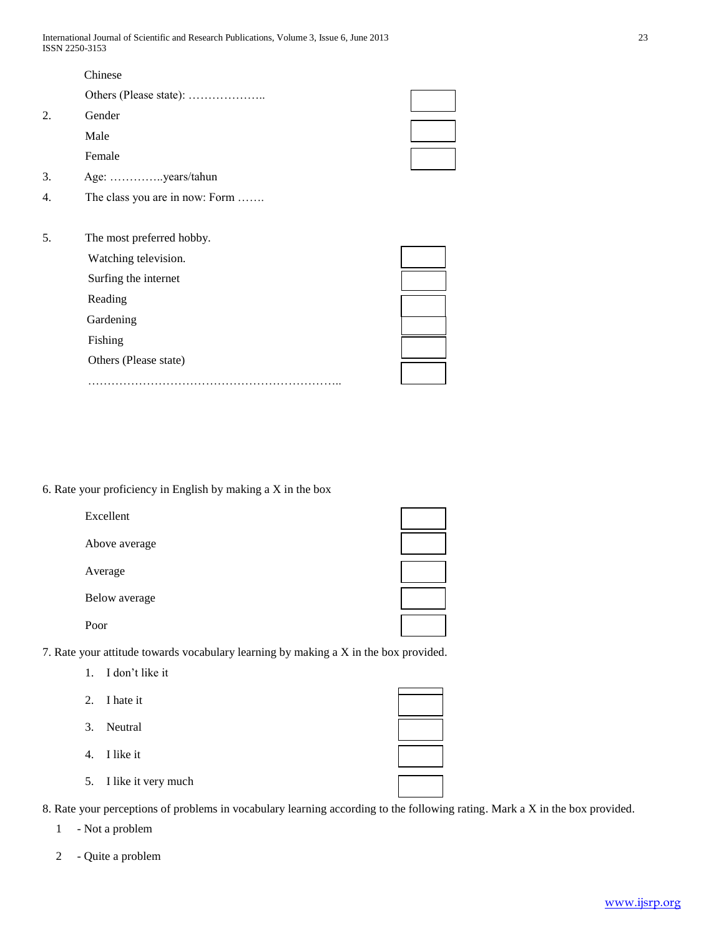|    | Chinese                        |  |
|----|--------------------------------|--|
|    |                                |  |
| 2. | Gender                         |  |
|    | Male                           |  |
|    | Female                         |  |
| 3. | Age: years/tahun               |  |
| 4. | The class you are in now: Form |  |
|    |                                |  |
| 5. | The most preferred hobby.      |  |
|    | Watching television.           |  |
|    | Surfing the internet           |  |
|    | Reading                        |  |
|    | Gardening                      |  |
|    | Fishing                        |  |
|    | Others (Please state)          |  |

………………………………………………………………

6. Rate your proficiency in English by making a X in the box

| Excellent     |  |
|---------------|--|
| Above average |  |
| Average       |  |
| Below average |  |
| Poor          |  |

7. Rate your attitude towards vocabulary learning by making a X in the box provided.

- 1. I don"t like it
- 2. I hate it
- 3. Neutral
- 4. I like it
- 5. I like it very much

8. Rate your perceptions of problems in vocabulary learning according to the following rating. Mark a X in the box provided.

1 - Not a problem

2 - Quite a problem

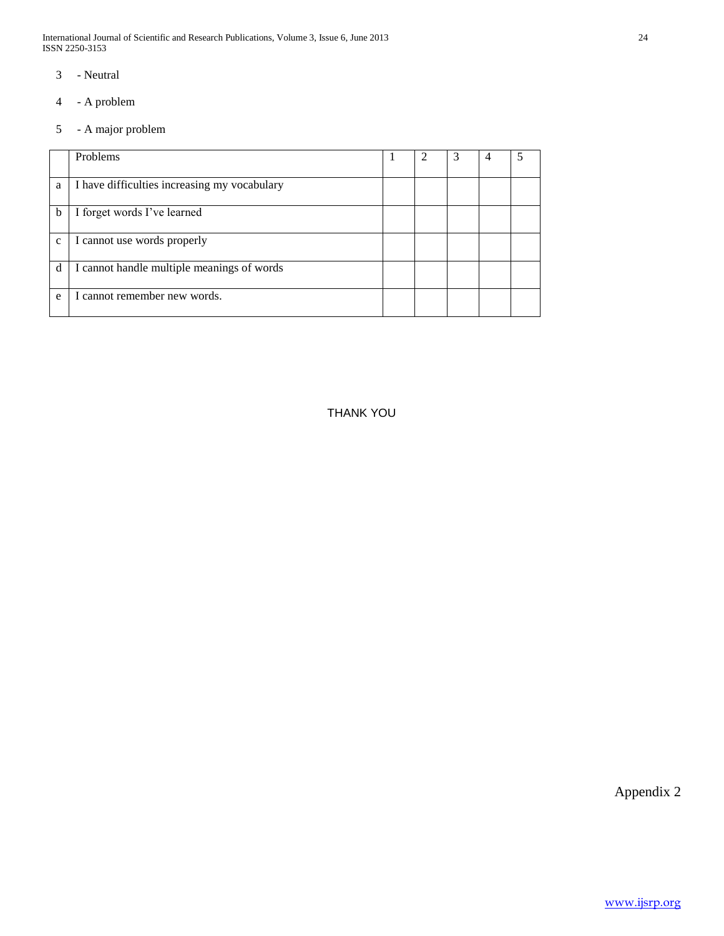International Journal of Scientific and Research Publications, Volume 3, Issue 6, June 2013 24 ISSN 2250-3153

- 3 Neutral
- 4 A problem
- 5 A major problem

|              | Problems                                     |  | 3 |  |
|--------------|----------------------------------------------|--|---|--|
| a            | I have difficulties increasing my vocabulary |  |   |  |
| b            | I forget words I've learned                  |  |   |  |
| $\mathbf{C}$ | I cannot use words properly                  |  |   |  |
| d            | I cannot handle multiple meanings of words   |  |   |  |
| e            | I cannot remember new words.                 |  |   |  |

THANK YOU

Appendix 2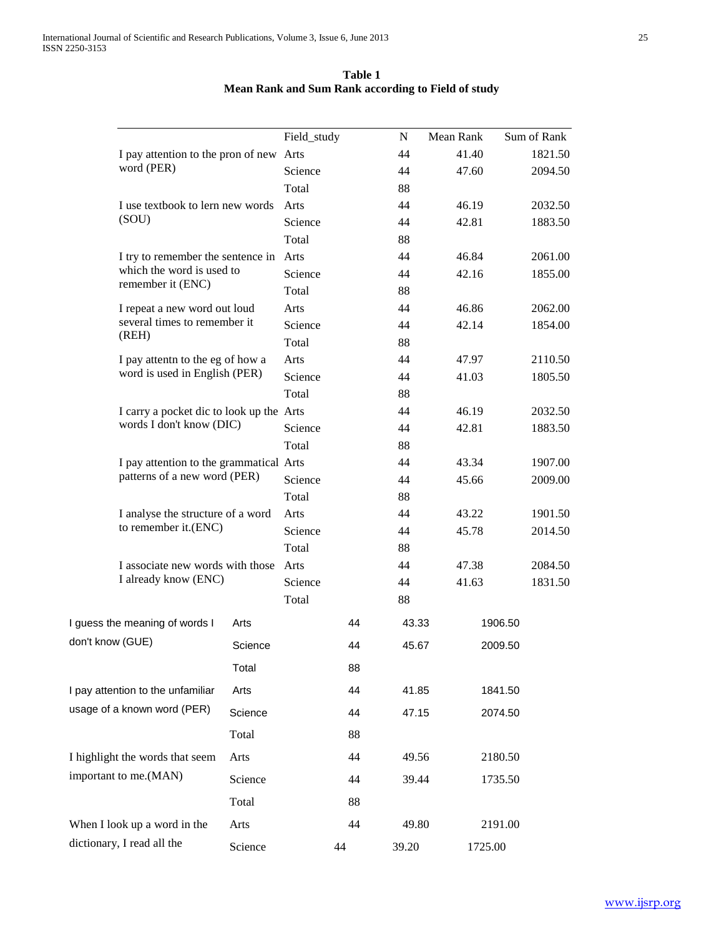| Table 1                                            |  |
|----------------------------------------------------|--|
| Mean Rank and Sum Rank according to Field of study |  |

|                                                                         |                                                                  | Field_study      |    | N        | Mean Rank      | Sum of Rank        |
|-------------------------------------------------------------------------|------------------------------------------------------------------|------------------|----|----------|----------------|--------------------|
| I pay attention to the pron of new Arts                                 |                                                                  |                  |    | 44       | 41.40          | 1821.50            |
| word (PER)                                                              |                                                                  | Science          |    | 44       | 47.60          | 2094.50            |
|                                                                         |                                                                  | Total            |    | 88       |                |                    |
| I use textbook to lern new words                                        |                                                                  | Arts             |    | 44       | 46.19          | 2032.50            |
| (SOU)                                                                   |                                                                  | Science          |    | 44       | 42.81          | 1883.50            |
|                                                                         |                                                                  | Total            |    | 88       |                |                    |
|                                                                         | I try to remember the sentence in<br>Arts                        |                  |    | 44       | 46.84          | 2061.00            |
| which the word is used to<br>remember it (ENC)                          |                                                                  | Science          |    | 44       | 42.16          | 1855.00            |
|                                                                         | Total<br>Arts                                                    |                  |    | 88       |                |                    |
|                                                                         | I repeat a new word out loud                                     |                  |    | 44       | 46.86          | 2062.00            |
| several times to remember it<br>(REH)                                   |                                                                  | Science<br>Total |    | 44       | 42.14          | 1854.00            |
|                                                                         | Arts                                                             |                  |    | 88       |                |                    |
|                                                                         | I pay attent to the eg of how a<br>word is used in English (PER) |                  |    | 44       | 47.97          | 2110.50            |
|                                                                         |                                                                  | Science<br>Total |    | 44       | 41.03          | 1805.50            |
|                                                                         |                                                                  |                  |    | 88       |                |                    |
| I carry a pocket dic to look up the Arts<br>words I don't know (DIC)    |                                                                  |                  |    | 44       | 46.19          | 2032.50            |
| I pay attention to the grammatical Arts<br>patterns of a new word (PER) |                                                                  | Science          |    | 44       | 42.81          | 1883.50            |
|                                                                         |                                                                  | Total            |    | 88<br>44 |                |                    |
|                                                                         |                                                                  | Science          |    | 44       | 43.34<br>45.66 | 1907.00<br>2009.00 |
|                                                                         |                                                                  | Total            |    | 88       |                |                    |
| I analyse the structure of a word                                       |                                                                  | Arts             |    | 44       | 43.22          | 1901.50            |
| to remember it.(ENC)                                                    |                                                                  | Science          |    | 44       | 45.78          | 2014.50            |
|                                                                         |                                                                  | Total            |    | 88       |                |                    |
| I associate new words with those                                        |                                                                  | Arts             |    | 44       | 47.38          | 2084.50            |
| I already know (ENC)                                                    |                                                                  | Science          |    | 44       | 41.63          | 1831.50            |
|                                                                         |                                                                  | Total            |    | 88       |                |                    |
| I guess the meaning of words I                                          | Arts                                                             |                  | 44 | 43.33    |                | 1906.50            |
| don't know (GUE)                                                        | Science                                                          |                  | 44 | 45.67    |                | 2009.50            |
|                                                                         | Total                                                            |                  | 88 |          |                |                    |
| I pay attention to the unfamiliar                                       | Arts                                                             |                  | 44 | 41.85    |                | 1841.50            |
| usage of a known word (PER)                                             | Science                                                          |                  | 44 | 47.15    |                | 2074.50            |
|                                                                         | Total                                                            |                  | 88 |          |                |                    |
| I highlight the words that seem<br>Arts                                 |                                                                  |                  | 44 | 49.56    |                | 2180.50            |
| important to me.(MAN)                                                   | Science                                                          |                  | 44 | 39.44    |                | 1735.50            |
|                                                                         | Total                                                            |                  | 88 |          |                |                    |
| When I look up a word in the                                            | Arts                                                             |                  | 44 | 49.80    |                | 2191.00            |
| dictionary, I read all the                                              | Science                                                          |                  | 44 | 39.20    | 1725.00        |                    |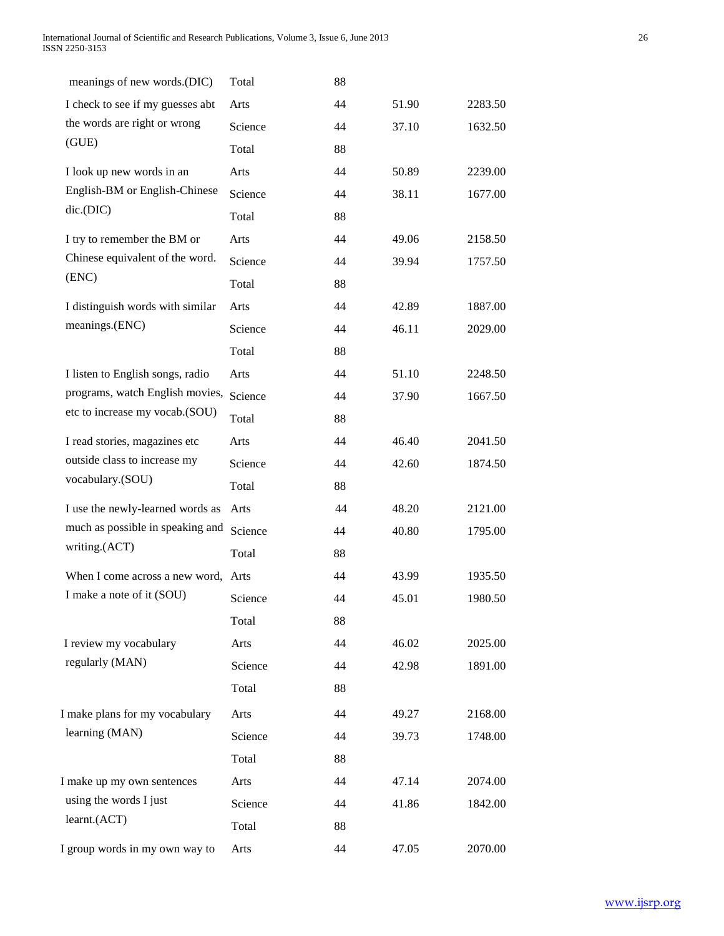| meanings of new words.(DIC)                          | Total   | 88 |       |         |
|------------------------------------------------------|---------|----|-------|---------|
| I check to see if my guesses abt                     | Arts    | 44 | 51.90 | 2283.50 |
| the words are right or wrong                         | Science | 44 | 37.10 | 1632.50 |
| (GUE)                                                | Total   | 88 |       |         |
| I look up new words in an                            | Arts    | 44 | 50.89 | 2239.00 |
| English-BM or English-Chinese                        | Science | 44 | 38.11 | 1677.00 |
| dic(DIC)                                             | Total   | 88 |       |         |
| I try to remember the BM or                          | Arts    | 44 | 49.06 | 2158.50 |
| Chinese equivalent of the word.                      | Science | 44 | 39.94 | 1757.50 |
| (ENC)                                                | Total   | 88 |       |         |
| I distinguish words with similar                     | Arts    | 44 | 42.89 | 1887.00 |
| meanings.(ENC)                                       | Science | 44 | 46.11 | 2029.00 |
|                                                      | Total   | 88 |       |         |
| I listen to English songs, radio                     | Arts    | 44 | 51.10 | 2248.50 |
| programs, watch English movies,                      | Science | 44 | 37.90 | 1667.50 |
| etc to increase my vocab.(SOU)                       | Total   | 88 |       |         |
| I read stories, magazines etc                        | Arts    | 44 | 46.40 | 2041.50 |
| outside class to increase my                         | Science | 44 | 42.60 | 1874.50 |
| vocabulary.(SOU)                                     | Total   | 88 |       |         |
| I use the newly-learned words as                     | Arts    | 44 | 48.20 | 2121.00 |
| much as possible in speaking and                     | Science | 44 | 40.80 | 1795.00 |
| writing.(ACT)                                        | Total   | 88 |       |         |
| When I come across a new word,                       | Arts    | 44 | 43.99 | 1935.50 |
| I make a note of it (SOU)                            | Science | 44 | 45.01 | 1980.50 |
|                                                      | Total   | 88 |       |         |
| I review my vocabulary                               | Arts    | 44 | 46.02 | 2025.00 |
| regularly (MAN)                                      | Science | 44 | 42.98 | 1891.00 |
|                                                      | Total   | 88 |       |         |
| I make plans for my vocabulary                       | Arts    | 44 | 49.27 | 2168.00 |
| learning (MAN)                                       | Science | 44 | 39.73 | 1748.00 |
|                                                      | Total   | 88 |       |         |
|                                                      |         |    |       |         |
| I make up my own sentences<br>using the words I just | Arts    | 44 | 47.14 | 2074.00 |
| learnt.(ACT)                                         | Science | 44 | 41.86 | 1842.00 |
|                                                      | Total   | 88 |       |         |
| I group words in my own way to                       | Arts    | 44 | 47.05 | 2070.00 |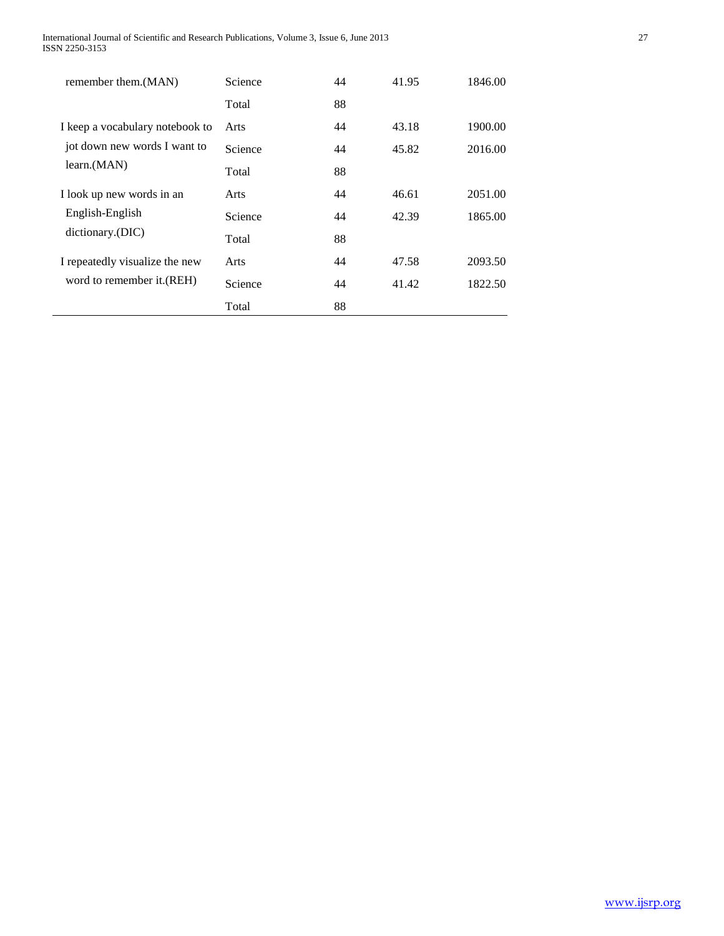| remember them. (MAN)            | <b>Science</b> | 44 | 41.95 | 1846.00 |
|---------------------------------|----------------|----|-------|---------|
|                                 | Total          | 88 |       |         |
| I keep a vocabulary notebook to | Arts           | 44 | 43.18 | 1900.00 |
| jot down new words I want to    | Science        | 44 | 45.82 | 2016.00 |
| learn.(MAN)                     | Total          | 88 |       |         |
| I look up new words in an       | Arts           | 44 | 46.61 | 2051.00 |
| English-English                 | <b>Science</b> | 44 | 42.39 | 1865.00 |
| dictionary.(DIC)                | Total          | 88 |       |         |
| I repeatedly visualize the new  | Arts           | 44 | 47.58 | 2093.50 |
| word to remember it. (REH)      | Science        | 44 | 41.42 | 1822.50 |
|                                 | Total          | 88 |       |         |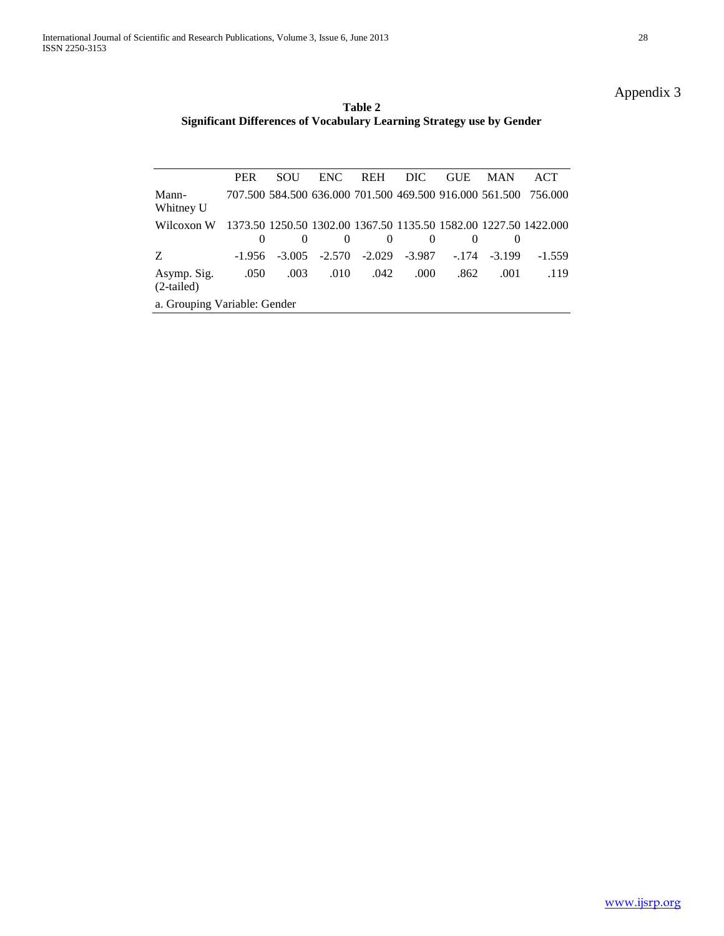# Appendix 3

**Table 2 Significant Differences of Vocabulary Learning Strategy use by Gender**

|                             | <b>PER</b>                   | <b>SOU</b> | ENC.     | <b>REH</b> | DIC.     | <b>GUE</b>             | <b>MAN</b> | ACT                                                              |  |
|-----------------------------|------------------------------|------------|----------|------------|----------|------------------------|------------|------------------------------------------------------------------|--|
| Mann-<br>Whitney U          |                              |            |          |            |          |                        |            | 707.500 584.500 636.000 701.500 469.500 916.000 561.500 756.000  |  |
| Wilcoxon W                  |                              |            | $\theta$ | $\Omega$   | $\theta$ |                        |            | 1373.50 1250.50 1302.00 1367.50 1135.50 1582.00 1227.50 1422.000 |  |
| Z                           | $-1.956$                     | $-3.005$   | $-2.570$ | $-2.029$   |          | $-3.987 - 174 - 3.199$ |            | $-1.559$                                                         |  |
| Asymp. Sig.<br>$(2-tailed)$ | .050                         | .003       | .010     | .042       | .000.    | .862                   | .001       | .119                                                             |  |
|                             | a. Grouping Variable: Gender |            |          |            |          |                        |            |                                                                  |  |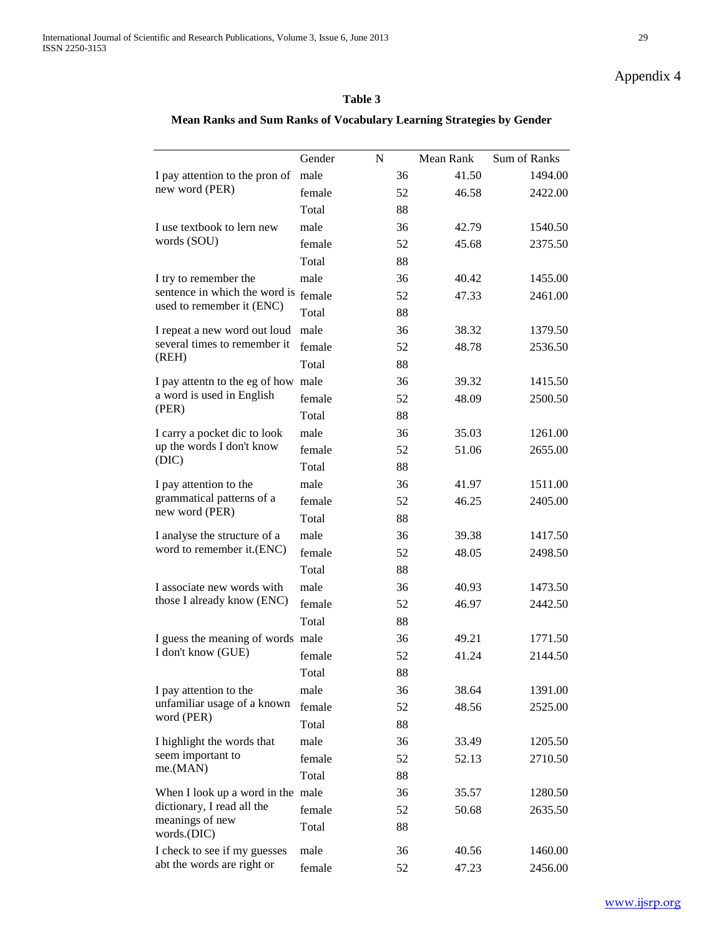# Appendix 4

# **Table 3**

# **Mean Ranks and Sum Ranks of Vocabulary Learning Strategies by Gender**

|                                                                  | Gender | N        | Mean Rank      | Sum of Ranks       |
|------------------------------------------------------------------|--------|----------|----------------|--------------------|
| I pay attention to the pron of                                   | male   | 36       | 41.50          | 1494.00            |
| new word (PER)                                                   | female | 52       | 46.58          | 2422.00            |
|                                                                  | Total  | 88       |                |                    |
|                                                                  | male   |          |                |                    |
| I use textbook to lern new<br>words (SOU)                        | female | 36<br>52 | 42.79<br>45.68 | 1540.50<br>2375.50 |
|                                                                  | Total  |          |                |                    |
|                                                                  | male   | 88       |                | 1455.00            |
| I try to remember the<br>sentence in which the word is           |        | 36       | 40.42          |                    |
| used to remember it (ENC)                                        | female | 52       | 47.33          | 2461.00            |
|                                                                  | Total  | 88       |                |                    |
| I repeat a new word out loud<br>several times to remember it     | male   | 36       | 38.32          | 1379.50            |
| (REH)                                                            | female | 52       | 48.78          | 2536.50            |
|                                                                  | Total  | 88       |                |                    |
| I pay attentn to the eg of how male<br>a word is used in English |        | 36       | 39.32          | 1415.50            |
| (PER)                                                            | female | 52       | 48.09          | 2500.50            |
|                                                                  | Total  | 88       |                |                    |
| I carry a pocket dic to look                                     | male   | 36       | 35.03          | 1261.00            |
| up the words I don't know<br>(DIC)                               | female | 52       | 51.06          | 2655.00            |
|                                                                  | Total  | 88       |                |                    |
| I pay attention to the                                           | male   | 36       | 41.97          | 1511.00            |
| grammatical patterns of a<br>new word (PER)                      | female | 52       | 46.25          | 2405.00            |
|                                                                  | Total  | 88       |                |                    |
| I analyse the structure of a                                     | male   | 36       | 39.38          | 1417.50            |
| word to remember it.(ENC)                                        | female | 52       | 48.05          | 2498.50            |
|                                                                  | Total  | 88       |                |                    |
| I associate new words with                                       | male   | 36       | 40.93          | 1473.50            |
| those I already know (ENC)                                       | female | 52       | 46.97          | 2442.50            |
|                                                                  | Total  | 88       |                |                    |
| I guess the meaning of words male                                |        | 36       | 49.21          | 1771.50            |
| I don't know (GUE)                                               | female | 52       | 41.24          | 2144.50            |
|                                                                  | Total  | 88       |                |                    |
| I pay attention to the                                           | male   | 36       | 38.64          | 1391.00            |
| unfamiliar usage of a known                                      | female | 52       | 48.56          | 2525.00            |
| word (PER)                                                       | Total  | 88       |                |                    |
| I highlight the words that                                       | male   | 36       | 33.49          | 1205.50            |
| seem important to                                                | female | 52       | 52.13          | 2710.50            |
| me.(MAN)                                                         | Total  | 88       |                |                    |
| When I look up a word in the male                                |        | 36       | 35.57          | 1280.50            |
| dictionary, I read all the                                       | female | 52       | 50.68          | 2635.50            |
| meanings of new<br>words.(DIC)                                   | Total  | 88       |                |                    |
| I check to see if my guesses                                     | male   | 36       | 40.56          | 1460.00            |
| abt the words are right or                                       | female | 52       | 47.23          | 2456.00            |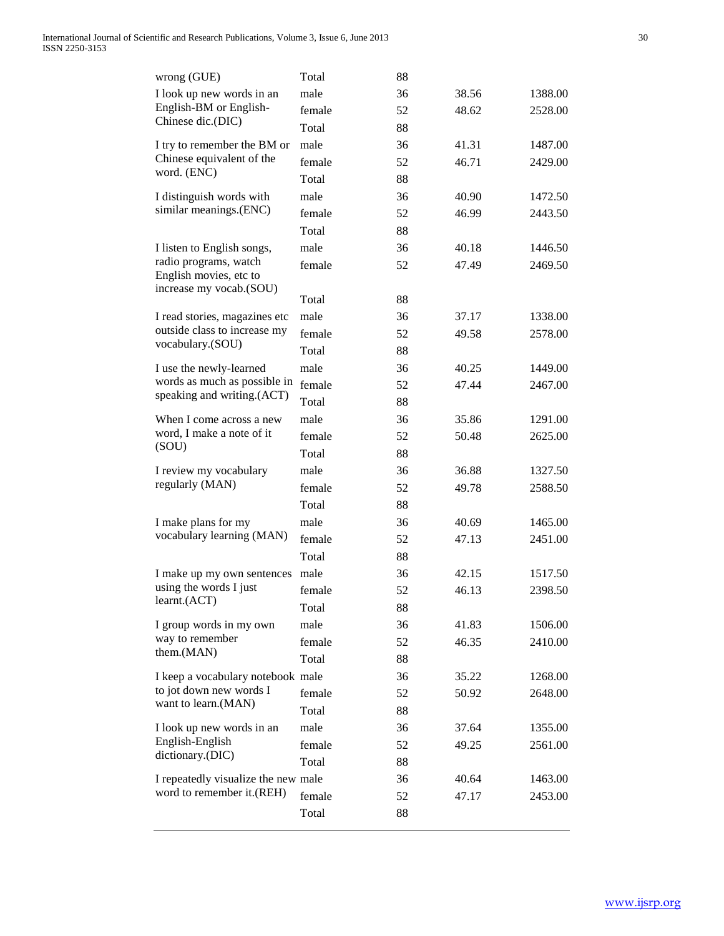| wrong (GUE)                                     | Total  | 88 |       |         |
|-------------------------------------------------|--------|----|-------|---------|
| I look up new words in an                       | male   | 36 | 38.56 | 1388.00 |
| English-BM or English-                          | female | 52 | 48.62 | 2528.00 |
| Chinese dic.(DIC)                               | Total  | 88 |       |         |
| I try to remember the BM or                     | male   | 36 | 41.31 | 1487.00 |
| Chinese equivalent of the                       | female | 52 | 46.71 | 2429.00 |
| word. (ENC)                                     | Total  | 88 |       |         |
| I distinguish words with                        | male   | 36 | 40.90 | 1472.50 |
| similar meanings.(ENC)                          | female | 52 | 46.99 | 2443.50 |
|                                                 | Total  | 88 |       |         |
| I listen to English songs,                      | male   | 36 | 40.18 | 1446.50 |
| radio programs, watch<br>English movies, etc to | female | 52 | 47.49 | 2469.50 |
| increase my vocab.(SOU)                         | Total  | 88 |       |         |
| I read stories, magazines etc                   | male   | 36 | 37.17 | 1338.00 |
| outside class to increase my                    | female | 52 | 49.58 | 2578.00 |
| vocabulary.(SOU)                                | Total  | 88 |       |         |
| I use the newly-learned                         | male   | 36 | 40.25 | 1449.00 |
| words as much as possible in                    | female | 52 | 47.44 | 2467.00 |
| speaking and writing.(ACT)                      | Total  | 88 |       |         |
| When I come across a new                        | male   | 36 | 35.86 | 1291.00 |
| word, I make a note of it                       | female | 52 | 50.48 | 2625.00 |
| (SOU)                                           | Total  | 88 |       |         |
| I review my vocabulary                          | male   | 36 | 36.88 | 1327.50 |
| regularly (MAN)                                 | female | 52 | 49.78 | 2588.50 |
|                                                 | Total  | 88 |       |         |
| I make plans for my                             | male   | 36 | 40.69 | 1465.00 |
| vocabulary learning (MAN)                       | female | 52 | 47.13 | 2451.00 |
|                                                 | Total  | 88 |       |         |
| I make up my own sentences                      | male   | 36 | 42.15 | 1517.50 |
| using the words I just                          | female | 52 | 46.13 | 2398.50 |
| learnt.(ACT)                                    | Total  | 88 |       |         |
| I group words in my own                         | male   | 36 | 41.83 | 1506.00 |
| way to remember                                 | female | 52 | 46.35 | 2410.00 |
| them.(MAN)                                      | Total  | 88 |       |         |
| I keep a vocabulary notebook male               |        | 36 | 35.22 | 1268.00 |
| to jot down new words I                         | female | 52 | 50.92 | 2648.00 |
| want to learn.(MAN)                             | Total  | 88 |       |         |
| I look up new words in an                       | male   | 36 | 37.64 | 1355.00 |
| English-English                                 | female | 52 | 49.25 | 2561.00 |
| dictionary.(DIC)                                | Total  | 88 |       |         |
| I repeatedly visualize the new male             |        | 36 | 40.64 | 1463.00 |
| word to remember it.(REH)                       | female | 52 | 47.17 | 2453.00 |
|                                                 | Total  | 88 |       |         |
|                                                 |        |    |       |         |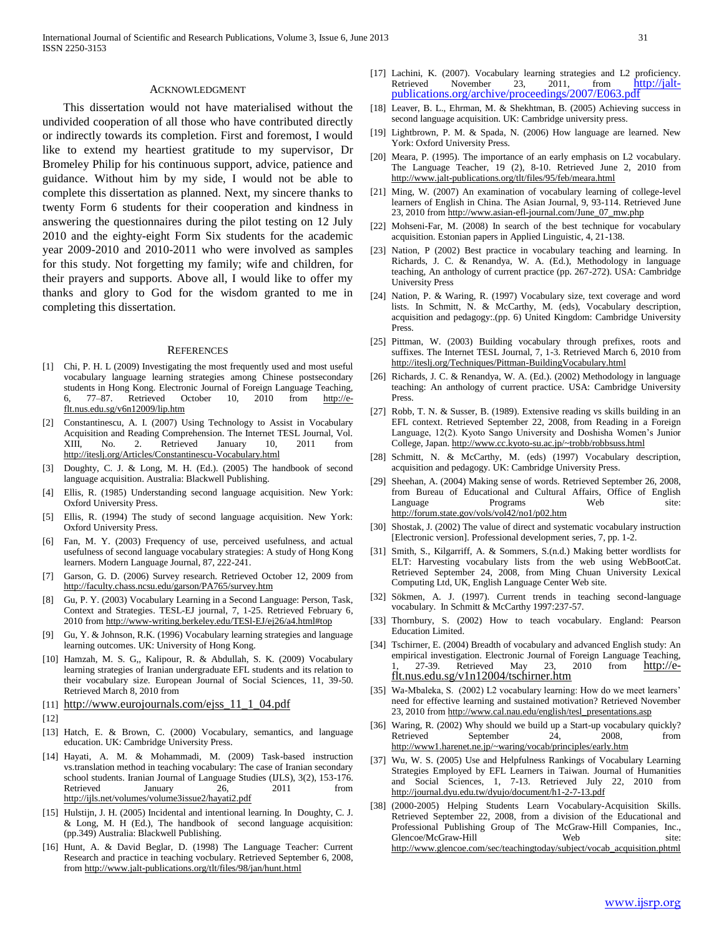#### ACKNOWLEDGMENT

 This dissertation would not have materialised without the undivided cooperation of all those who have contributed directly or indirectly towards its completion. First and foremost, I would like to extend my heartiest gratitude to my supervisor, Dr Bromeley Philip for his continuous support, advice, patience and guidance. Without him by my side, I would not be able to complete this dissertation as planned. Next, my sincere thanks to twenty Form 6 students for their cooperation and kindness in answering the questionnaires during the pilot testing on 12 July 2010 and the eighty-eight Form Six students for the academic year 2009-2010 and 2010-2011 who were involved as samples for this study. Not forgetting my family; wife and children, for their prayers and supports. Above all, I would like to offer my thanks and glory to God for the wisdom granted to me in completing this dissertation.

#### **REFERENCES**

- [1] Chi, P. H. L (2009) Investigating the most frequently used and most useful vocabulary language learning strategies among Chinese postsecondary students in Hong Kong. Electronic Journal of Foreign Language Teaching, 6, 77–87. Retrieved October 10, 2010 from [http://e](http://e-flt.nus.edu.sg/v6n12009/lip.htm)[flt.nus.edu.sg/v6n12009/lip.htm](http://e-flt.nus.edu.sg/v6n12009/lip.htm)
- [2] Constantinescu, A. I. (2007) Using Technology to Assist in Vocabulary Acquisition and Reading Comprehension. The Internet TESL Journal, Vol. XIII, No. 2. Retrieved January 10, 2011 from <http://iteslj.org/Articles/Constantinescu-Vocabulary.html>
- [3] Doughty, C. J. & Long, M. H. (Ed.). (2005) The handbook of second language acquisition. Australia: Blackwell Publishing.
- [4] Ellis, R. (1985) Understanding second language acquisition. New York: Oxford University Press.
- [5] Ellis, R. (1994) The study of second language acquisition. New York: Oxford University Press.
- [6] Fan, M. Y. (2003) Frequency of use, perceived usefulness, and actual usefulness of second language vocabulary strategies: A study of Hong Kong learners. Modern Language Journal, 87, 222-241.
- [7] Garson, G. D. (2006) Survey research. Retrieved October 12, 2009 from <http://faculty.chass.ncsu.edu/garson/PA765/survey.htm>
- [8] Gu, P. Y. (2003) Vocabulary Learning in a Second Language: Person, Task, Context and Strategies. TESL-EJ journal, 7, 1-25. Retrieved February 6, 2010 fro[m http://www-writing.berkeley.edu/TESl-EJ/ej26/a4.html#top](http://www-writing.berkeley.edu/TESl-EJ/ej26/a4.html#top)
- Gu, Y. & Johnson, R.K. (1996) Vocabulary learning strategies and language learning outcomes. UK: University of Hong Kong.
- [10] Hamzah, M. S. G,, Kalipour, R. & Abdullah, S. K. (2009) Vocabulary learning strategies of Iranian undergraduate EFL students and its relation to their vocabulary size. European Journal of Social Sciences, 11, 39-50. Retrieved March 8, 2010 from
- [11] [http://www.eurojournals.com/ejss\\_11\\_1\\_04.pdf](http://www.eurojournals.com/ejss_11_1_04.pdf)
- [12]
- [13] Hatch, E. & Brown, C. (2000) Vocabulary, semantics, and language education. UK: Cambridge University Press.
- [14] Hayati, A. M. & Mohammadi, M. (2009) Task-based instruction vs.translation method in teaching vocabulary: The case of Iranian secondary school students. Iranian Journal of Language Studies (IJLS), 3(2), 153-176. Retrieved January 26, 2011 from <http://ijls.net/volumes/volume3issue2/hayati2.pdf>
- [15] Hulstijn, J. H. (2005) Incidental and intentional learning. In Doughty, C. J. & Long, M. H (Ed.), The handbook of second language acquisition: (pp.349) Australia: Blackwell Publishing.
- [16] Hunt, A. & David Beglar, D. (1998) The Language Teacher: Current Research and practice in teaching vocbulary. Retrieved September 6, 2008, fro[m http://www.jalt-publications.org/tlt/files/98/jan/hunt.html](http://www.jalt-publications.org/tlt/files/98/jan/hunt.html)
- [17] Lachini, K. (2007). Vocabulary learning strategies and L2 proficiency.<br>Retrieved November 23, 2011, from [http://jalt](http://jalt-publications.org/archive/proceedings/2007/E063.pdf)[publications.org/archive/proceedings/2007/E063.pdf](http://jalt-publications.org/archive/proceedings/2007/E063.pdf)
- [18] Leaver, B. L., Ehrman, M. & Shekhtman, B. (2005) Achieving success in second language acquisition. UK: Cambridge university press.
- [19] Lightbrown, P. M. & Spada, N. (2006) How language are learned. New York: Oxford University Press.
- [20] Meara, P. (1995). The importance of an early emphasis on L2 vocabulary. The Language Teacher, 19 (2), 8-10. Retrieved June 2, 2010 from <http://www.jalt-publications.org/tlt/files/95/feb/meara.html>
- [21] Ming, W. (2007) An examination of vocabulary learning of college-level learners of English in China. The Asian Journal, 9, 93-114. Retrieved June 23, 2010 fro[m http://www.asian-efl-journal.com/June\\_07\\_mw.php](http://www.asian-efl-journal.com/June_07_mw.php)
- [22] Mohseni-Far, M. (2008) In search of the best technique for vocabulary acquisition. Estonian papers in Applied Linguistic, 4, 21-138.
- [23] Nation, P (2002) Best practice in vocabulary teaching and learning. In Richards, J. C. & Renandya, W. A. (Ed.), Methodology in language teaching, An anthology of current practice (pp. 267-272). USA: Cambridge University Press
- [24] Nation, P. & Waring, R. (1997) Vocabulary size, text coverage and word lists. In Schmitt, N. & McCarthy, M. (eds), Vocabulary description, acquisition and pedagogy:.(pp. 6) United Kingdom: Cambridge University Press.
- [25] Pittman, W. (2003) Building vocabulary through prefixes, roots and suffixes. The Internet TESL Journal, 7, 1-3. Retrieved March 6, 2010 from <http://iteslj.org/Techniques/Pittman-BuildingVocabulary.html>
- [26] Richards, J. C. & Renandya, W. A. (Ed.). (2002) Methodology in language teaching: An anthology of current practice. USA: Cambridge University Press.
- [27] Robb, T. N. & Susser, B. (1989). Extensive reading vs skills building in an EFL context. Retrieved September 22, 2008, from Reading in a Foreign Language, 12(2). Kyoto Sango University and Doshisha Women"s Junior College, Japan[. http://www.cc.kyoto-su.ac.jp/~trobb/robbsuss.html](http://www.cc.kyoto-su.ac.jp/~trobb/robbsuss.html)
- [28] Schmitt, N. & McCarthy, M. (eds) (1997) Vocabulary description, acquisition and pedagogy. UK: Cambridge University Press.
- [29] Sheehan, A. (2004) Making sense of words. Retrieved September 26, 2008, from Bureau of Educational and Cultural Affairs, Office of English Language Programs Web site: <http://forum.state.gov/vols/vol42/no1/p02.htm>
- [30] Shostak, J. (2002) The value of direct and systematic vocabulary instruction [Electronic version]. Professional development series, 7, pp. 1-2.
- [31] Smith, S., Kilgarriff, A. & Sommers, S.(n.d.) Making better wordlists for ELT: Harvesting vocabulary lists from the web using WebBootCat. Retrieved September 24, 2008, from Ming Chuan University Lexical Computing Ltd, UK, English Language Center Web site.
- [32] Sökmen, A. J. (1997). Current trends in teaching second-language vocabulary. In Schmitt & McCarthy 1997:237-57.
- [33] Thornbury, S. (2002) How to teach vocabulary. England: Pearson Education Limited.
- [34] Tschirner, E. (2004) Breadth of vocabulary and advanced English study: An empirical investigation. Electronic Journal of Foreign Language Teaching, 27-39. Retrieved May 23, 2010 from [http://e](http://e-flt.nus.edu.sg/v1n12004/tschirner.htm)[flt.nus.edu.sg/v1n12004/tschirner.htm](http://e-flt.nus.edu.sg/v1n12004/tschirner.htm)
- [35] Wa-Mbaleka, S. (2002) L2 vocabulary learning: How do we meet learners' need for effective learning and sustained motivation? Retrieved November 23, 2010 fro[m http://www.cal.nau.edu/english/tesl\\_presentations.asp](http://www.cal.nau.edu/english/tesl_presentations.asp)
- [36] Waring, R. (2002) Why should we build up a Start-up vocabulary quickly? Retrieved September 24, 2008, from <http://www1.harenet.ne.jp/~waring/vocab/principles/early.htm>
- [37] Wu, W. S. (2005) Use and Helpfulness Rankings of Vocabulary Learning Strategies Employed by EFL Learners in Taiwan. Journal of Humanities and Social Sciences, 1, 7-13. Retrieved July 22, 2010 from <http://journal.dyu.edu.tw/dyujo/document/h1-2-7-13.pdf>
- [38] (2000-2005) Helping Students Learn Vocabulary-Acquisition Skills. Retrieved September 22, 2008, from a division of the Educational and Professional Publishing Group of The McGraw-Hill Companies, Inc., Glencoe/McGraw-Hill Web site: [http://www.glencoe.com/sec/teachingtoday/subject/vocab\\_acquisition.phtml](http://www.glencoe.com/sec/teachingtoday/subject/vocab_acquisition.phtml)